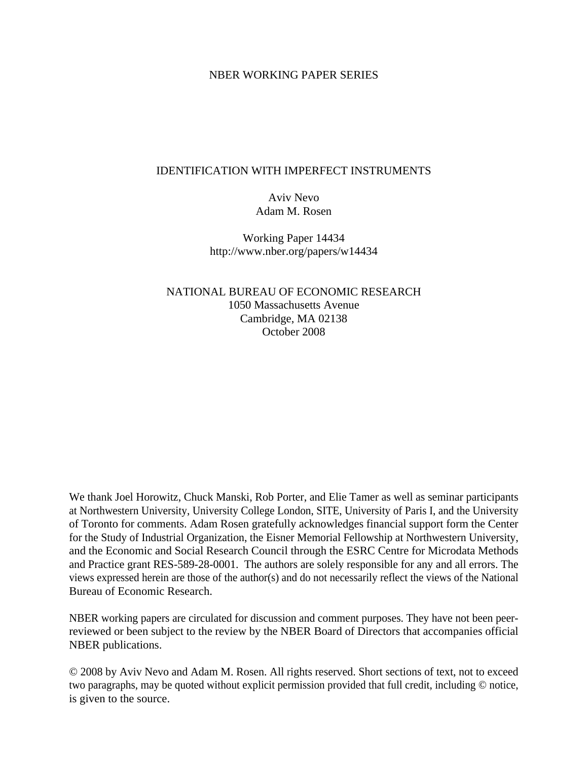## NBER WORKING PAPER SERIES

## IDENTIFICATION WITH IMPERFECT INSTRUMENTS

Aviv Nevo Adam M. Rosen

Working Paper 14434 http://www.nber.org/papers/w14434

NATIONAL BUREAU OF ECONOMIC RESEARCH 1050 Massachusetts Avenue Cambridge, MA 02138 October 2008

We thank Joel Horowitz, Chuck Manski, Rob Porter, and Elie Tamer as well as seminar participants at Northwestern University, University College London, SITE, University of Paris I, and the University of Toronto for comments. Adam Rosen gratefully acknowledges financial support form the Center for the Study of Industrial Organization, the Eisner Memorial Fellowship at Northwestern University, and the Economic and Social Research Council through the ESRC Centre for Microdata Methods and Practice grant RES-589-28-0001. The authors are solely responsible for any and all errors. The views expressed herein are those of the author(s) and do not necessarily reflect the views of the National Bureau of Economic Research.

NBER working papers are circulated for discussion and comment purposes. They have not been peerreviewed or been subject to the review by the NBER Board of Directors that accompanies official NBER publications.

© 2008 by Aviv Nevo and Adam M. Rosen. All rights reserved. Short sections of text, not to exceed two paragraphs, may be quoted without explicit permission provided that full credit, including © notice, is given to the source.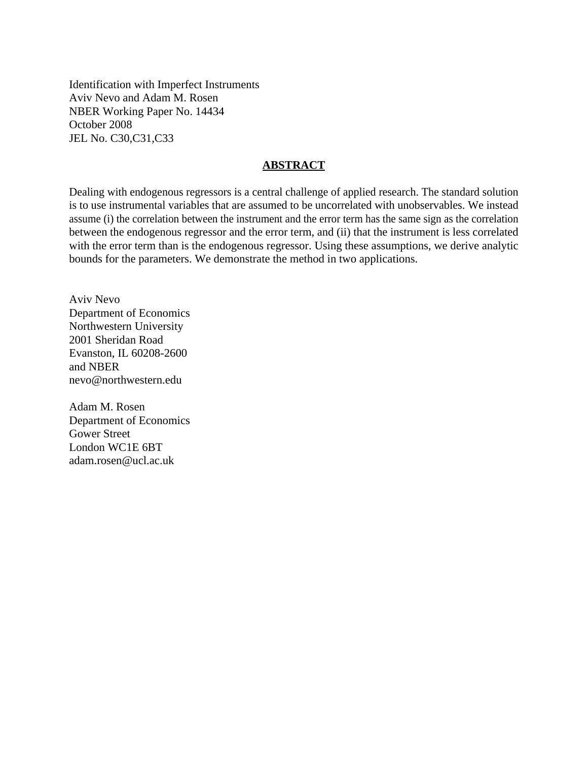Identification with Imperfect Instruments Aviv Nevo and Adam M. Rosen NBER Working Paper No. 14434 October 2008 JEL No. C30,C31,C33

## **ABSTRACT**

Dealing with endogenous regressors is a central challenge of applied research. The standard solution is to use instrumental variables that are assumed to be uncorrelated with unobservables. We instead assume (i) the correlation between the instrument and the error term has the same sign as the correlation between the endogenous regressor and the error term, and (ii) that the instrument is less correlated with the error term than is the endogenous regressor. Using these assumptions, we derive analytic bounds for the parameters. We demonstrate the method in two applications.

Aviv Nevo Department of Economics Northwestern University 2001 Sheridan Road Evanston, IL 60208-2600 and NBER nevo@northwestern.edu

Adam M. Rosen Department of Economics Gower Street London WC1E 6BT adam.rosen@ucl.ac.uk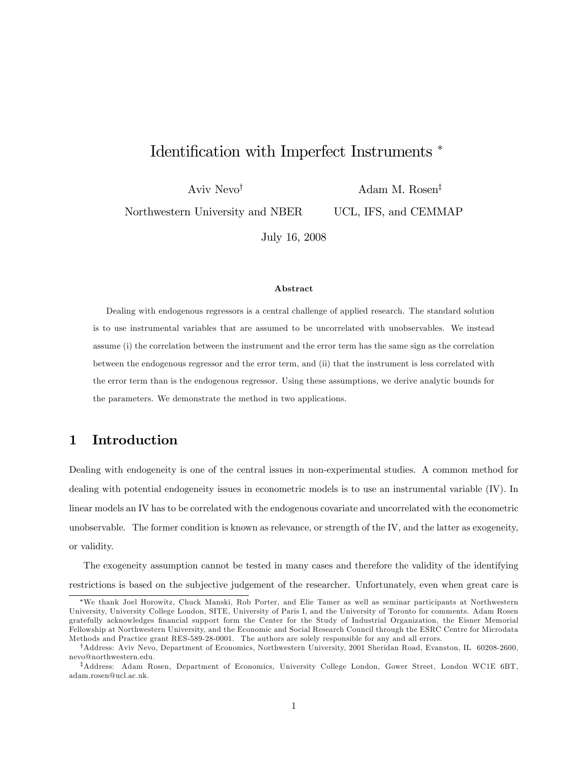# Identification with Imperfect Instruments<sup>\*</sup>

Aviv Nevo<sup>†</sup>

Adam M. Rosen<sup>‡</sup>

UCL, IFS, and CEMMAP

Northwestern University and NBER

July 16, 2008

#### Abstract

Dealing with endogenous regressors is a central challenge of applied research. The standard solution is to use instrumental variables that are assumed to be uncorrelated with unobservables. We instead assume (i) the correlation between the instrument and the error term has the same sign as the correlation between the endogenous regressor and the error term, and (ii) that the instrument is less correlated with the error term than is the endogenous regressor. Using these assumptions, we derive analytic bounds for the parameters. We demonstrate the method in two applications.

## 1 Introduction

Dealing with endogeneity is one of the central issues in non-experimental studies. A common method for dealing with potential endogeneity issues in econometric models is to use an instrumental variable (IV). In linear models an IV has to be correlated with the endogenous covariate and uncorrelated with the econometric unobservable. The former condition is known as relevance, or strength of the IV, and the latter as exogeneity, or validity.

The exogeneity assumption cannot be tested in many cases and therefore the validity of the identifying restrictions is based on the subjective judgement of the researcher. Unfortunately, even when great care is

We thank Joel Horowitz, Chuck Manski, Rob Porter, and Elie Tamer as well as seminar participants at Northwestern University, University College London, SITE, University of Paris I, and the University of Toronto for comments. Adam Rosen gratefully acknowledges Önancial support form the Center for the Study of Industrial Organization, the Eisner Memorial Fellowship at Northwestern University, and the Economic and Social Research Council through the ESRC Centre for Microdata Methods and Practice grant RES-589-28-0001. The authors are solely responsible for any and all errors.

<sup>&</sup>lt;sup>†</sup>Address: Aviv Nevo, Department of Economics, Northwestern University, 2001 Sheridan Road, Evanston, IL 60208-2600, nevo@northwestern.edu.

<sup>&</sup>lt;sup>‡</sup>Address: Adam Rosen, Department of Economics, University College London, Gower Street, London WC1E 6BT, adam.rosen@ucl.ac.uk.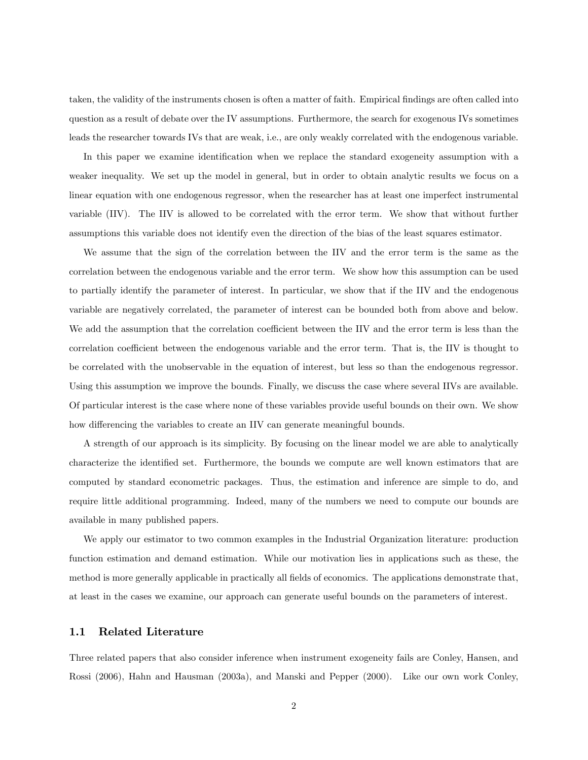taken, the validity of the instruments chosen is often a matter of faith. Empirical findings are often called into question as a result of debate over the IV assumptions. Furthermore, the search for exogenous IVs sometimes leads the researcher towards IVs that are weak, i.e., are only weakly correlated with the endogenous variable.

In this paper we examine identification when we replace the standard exogeneity assumption with a weaker inequality. We set up the model in general, but in order to obtain analytic results we focus on a linear equation with one endogenous regressor, when the researcher has at least one imperfect instrumental variable (IIV). The IIV is allowed to be correlated with the error term. We show that without further assumptions this variable does not identify even the direction of the bias of the least squares estimator.

We assume that the sign of the correlation between the IIV and the error term is the same as the correlation between the endogenous variable and the error term. We show how this assumption can be used to partially identify the parameter of interest. In particular, we show that if the IIV and the endogenous variable are negatively correlated, the parameter of interest can be bounded both from above and below. We add the assumption that the correlation coefficient between the IIV and the error term is less than the correlation coefficient between the endogenous variable and the error term. That is, the IIV is thought to be correlated with the unobservable in the equation of interest, but less so than the endogenous regressor. Using this assumption we improve the bounds. Finally, we discuss the case where several IIVs are available. Of particular interest is the case where none of these variables provide useful bounds on their own. We show how differencing the variables to create an IIV can generate meaningful bounds.

A strength of our approach is its simplicity. By focusing on the linear model we are able to analytically characterize the identified set. Furthermore, the bounds we compute are well known estimators that are computed by standard econometric packages. Thus, the estimation and inference are simple to do, and require little additional programming. Indeed, many of the numbers we need to compute our bounds are available in many published papers.

We apply our estimator to two common examples in the Industrial Organization literature: production function estimation and demand estimation. While our motivation lies in applications such as these, the method is more generally applicable in practically all fields of economics. The applications demonstrate that, at least in the cases we examine, our approach can generate useful bounds on the parameters of interest.

#### 1.1 Related Literature

Three related papers that also consider inference when instrument exogeneity fails are Conley, Hansen, and Rossi (2006), Hahn and Hausman (2003a), and Manski and Pepper (2000). Like our own work Conley,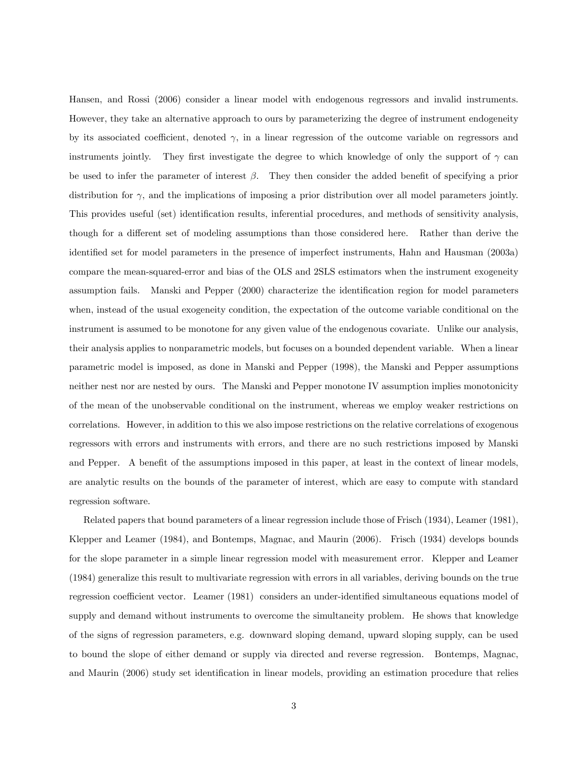Hansen, and Rossi (2006) consider a linear model with endogenous regressors and invalid instruments. However, they take an alternative approach to ours by parameterizing the degree of instrument endogeneity by its associated coefficient, denoted  $\gamma$ , in a linear regression of the outcome variable on regressors and instruments jointly. They first investigate the degree to which knowledge of only the support of  $\gamma$  can be used to infer the parameter of interest  $\beta$ . They then consider the added benefit of specifying a prior distribution for  $\gamma$ , and the implications of imposing a prior distribution over all model parameters jointly. This provides useful (set) identification results, inferential procedures, and methods of sensitivity analysis, though for a different set of modeling assumptions than those considered here. Rather than derive the identified set for model parameters in the presence of imperfect instruments, Hahn and Hausman (2003a) compare the mean-squared-error and bias of the OLS and 2SLS estimators when the instrument exogeneity assumption fails. Manski and Pepper (2000) characterize the identification region for model parameters when, instead of the usual exogeneity condition, the expectation of the outcome variable conditional on the instrument is assumed to be monotone for any given value of the endogenous covariate. Unlike our analysis, their analysis applies to nonparametric models, but focuses on a bounded dependent variable. When a linear parametric model is imposed, as done in Manski and Pepper (1998), the Manski and Pepper assumptions neither nest nor are nested by ours. The Manski and Pepper monotone IV assumption implies monotonicity of the mean of the unobservable conditional on the instrument, whereas we employ weaker restrictions on correlations. However, in addition to this we also impose restrictions on the relative correlations of exogenous regressors with errors and instruments with errors, and there are no such restrictions imposed by Manski and Pepper. A benefit of the assumptions imposed in this paper, at least in the context of linear models. are analytic results on the bounds of the parameter of interest, which are easy to compute with standard regression software.

Related papers that bound parameters of a linear regression include those of Frisch (1934), Leamer (1981), Klepper and Leamer (1984), and Bontemps, Magnac, and Maurin (2006). Frisch (1934) develops bounds for the slope parameter in a simple linear regression model with measurement error. Klepper and Leamer (1984) generalize this result to multivariate regression with errors in all variables, deriving bounds on the true regression coefficient vector. Leamer (1981) considers an under-identified simultaneous equations model of supply and demand without instruments to overcome the simultaneity problem. He shows that knowledge of the signs of regression parameters, e.g. downward sloping demand, upward sloping supply, can be used to bound the slope of either demand or supply via directed and reverse regression. Bontemps, Magnac, and Maurin (2006) study set identification in linear models, providing an estimation procedure that relies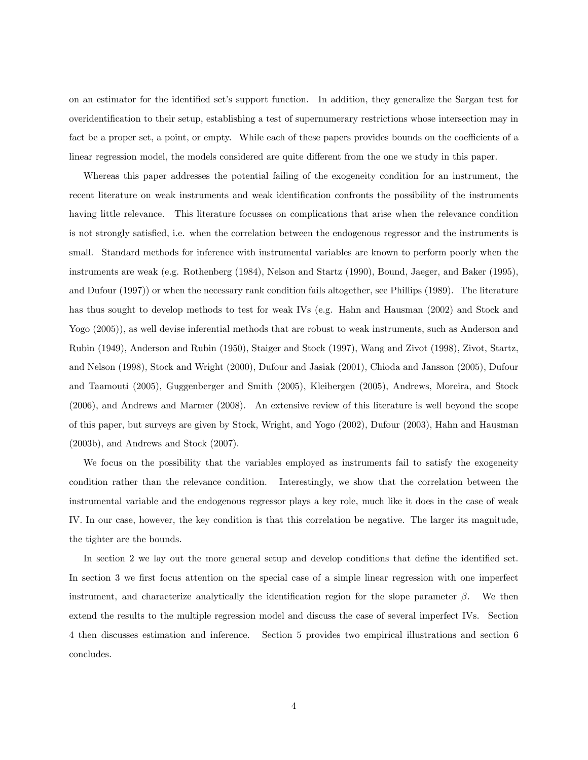on an estimator for the identified set's support function. In addition, they generalize the Sargan test for overidentiÖcation to their setup, establishing a test of supernumerary restrictions whose intersection may in fact be a proper set, a point, or empty. While each of these papers provides bounds on the coefficients of a linear regression model, the models considered are quite different from the one we study in this paper.

Whereas this paper addresses the potential failing of the exogeneity condition for an instrument, the recent literature on weak instruments and weak identification confronts the possibility of the instruments having little relevance. This literature focusses on complications that arise when the relevance condition is not strongly satisfied, i.e. when the correlation between the endogenous regressor and the instruments is small. Standard methods for inference with instrumental variables are known to perform poorly when the instruments are weak (e.g. Rothenberg (1984), Nelson and Startz (1990), Bound, Jaeger, and Baker (1995), and Dufour (1997)) or when the necessary rank condition fails altogether, see Phillips (1989). The literature has thus sought to develop methods to test for weak IVs (e.g. Hahn and Hausman (2002) and Stock and Yogo (2005)), as well devise inferential methods that are robust to weak instruments, such as Anderson and Rubin (1949), Anderson and Rubin (1950), Staiger and Stock (1997), Wang and Zivot (1998), Zivot, Startz, and Nelson (1998), Stock and Wright (2000), Dufour and Jasiak (2001), Chioda and Jansson (2005), Dufour and Taamouti (2005), Guggenberger and Smith (2005), Kleibergen (2005), Andrews, Moreira, and Stock (2006), and Andrews and Marmer (2008). An extensive review of this literature is well beyond the scope of this paper, but surveys are given by Stock, Wright, and Yogo (2002), Dufour (2003), Hahn and Hausman (2003b), and Andrews and Stock (2007).

We focus on the possibility that the variables employed as instruments fail to satisfy the exogeneity condition rather than the relevance condition. Interestingly, we show that the correlation between the instrumental variable and the endogenous regressor plays a key role, much like it does in the case of weak IV. In our case, however, the key condition is that this correlation be negative. The larger its magnitude, the tighter are the bounds.

In section 2 we lay out the more general setup and develop conditions that define the identified set. In section 3 we first focus attention on the special case of a simple linear regression with one imperfect instrument, and characterize analytically the identification region for the slope parameter  $\beta$ . We then extend the results to the multiple regression model and discuss the case of several imperfect IVs. Section 4 then discusses estimation and inference. Section 5 provides two empirical illustrations and section 6 concludes.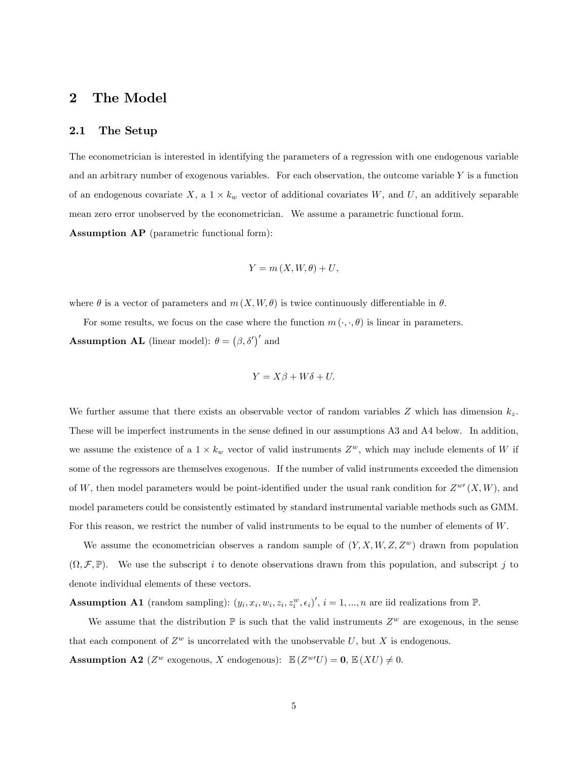## 2 The Model

#### 2.1 The Setup

The econometrician is interested in identifying the parameters of a regression with one endogenous variable and an arbitrary number of exogenous variables. For each observation, the outcome variable  $Y$  is a function of an endogenous covariate  $X$ , a  $1 \times k_w$  vector of additional covariates W, and U, an additively separable mean zero error unobserved by the econometrician. We assume a parametric functional form. Assumption AP (parametric functional form):

$$
Y = m(X, W, \theta) + U,
$$

where  $\theta$  is a vector of parameters and  $m(X, W, \theta)$  is twice continuously differentiable in  $\theta$ .

For some results, we focus on the case where the function  $m(\cdot, \cdot, \theta)$  is linear in parameters. **Assumption AL** (linear model):  $\theta = (\beta, \delta')'$  and

$$
Y = X\beta + W\delta + U.
$$

We further assume that there exists an observable vector of random variables Z which has dimension  $k_z$ . These will be imperfect instruments in the sense defined in our assumptions A3 and A4 below. In addition, we assume the existence of a  $1 \times k_w$  vector of valid instruments  $Z^w$ , which may include elements of W if some of the regressors are themselves exogenous. If the number of valid instruments exceeded the dimension of W, then model parameters would be point-identified under the usual rank condition for  $Z^{\omega\prime}(X,W)$ , and model parameters could be consistently estimated by standard instrumental variable methods such as GMM. For this reason, we restrict the number of valid instruments to be equal to the number of elements of W.

We assume the econometrician observes a random sample of  $(Y, X, W, Z, Z^w)$  drawn from population  $(\Omega, \mathcal{F}, \mathbb{P})$ . We use the subscript i to denote observations drawn from this population, and subscript j to denote individual elements of these vectors.

**Assumption A1** (random sampling):  $(y_i, x_i, w_i, z_i, z_i^w, \epsilon_i)'$ ,  $i = 1, ..., n$  are iid realizations from  $\mathbb{P}$ .

We assume that the distribution  $\mathbb P$  is such that the valid instruments  $Z^w$  are exogenous, in the sense that each component of  $Z^w$  is uncorrelated with the unobservable U, but X is endogenous.

**Assumption A2** ( $Z^w$  exogenous, X endogenous):  $\mathbb{E}(Z^{w'}U) = 0$ ,  $\mathbb{E}(XU) \neq 0$ .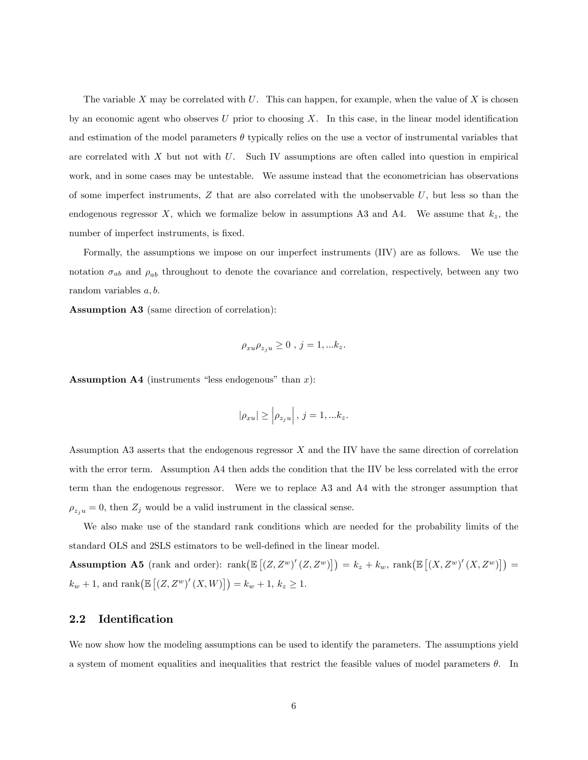The variable X may be correlated with  $U$ . This can happen, for example, when the value of X is chosen by an economic agent who observes U prior to choosing  $X$ . In this case, in the linear model identification and estimation of the model parameters  $\theta$  typically relies on the use a vector of instrumental variables that are correlated with  $X$  but not with  $U$ . Such IV assumptions are often called into question in empirical work, and in some cases may be untestable. We assume instead that the econometrician has observations of some imperfect instruments,  $Z$  that are also correlated with the unobservable  $U$ , but less so than the endogenous regressor X, which we formalize below in assumptions A3 and A4. We assume that  $k_z$ , the number of imperfect instruments, is fixed.

Formally, the assumptions we impose on our imperfect instruments (IIV) are as follows. We use the notation  $\sigma_{ab}$  and  $\rho_{ab}$  throughout to denote the covariance and correlation, respectively, between any two random variables  $a, b$ .

Assumption A3 (same direction of correlation):

$$
\rho_{xu}\rho_{z_ju}\geq 0\ ,\ j=1,...k_z.
$$

**Assumption A4** (instruments "less endogenous" than  $x$ ):

$$
|\rho_{xu}| \ge \left|\rho_{z_ju}\right|, j=1,...k_z.
$$

Assumption A3 asserts that the endogenous regressor X and the IIV have the same direction of correlation with the error term. Assumption A4 then adds the condition that the IIV be less correlated with the error term than the endogenous regressor. Were we to replace A3 and A4 with the stronger assumption that  $\rho_{z_ju} = 0$ , then  $Z_j$  would be a valid instrument in the classical sense.

We also make use of the standard rank conditions which are needed for the probability limits of the standard OLS and 2SLS estimators to be well-defined in the linear model.

Assumption A5 (rank and order):  $\text{rank}\left(\mathbb{E}\left[\left(Z,Z^w\right)'(Z,Z^w)\right]\right) = k_z + k_w$ ,  $\text{rank}\left(\mathbb{E}\left[\left(X,Z^w\right)'(X,Z^w)\right]\right) =$  $k_w + 1$ , and  $\text{rank}(\mathbb{E}[(Z, Z^w)'(X, W)]) = k_w + 1, k_z \ge 1.$ 

### 2.2 Identification

We now show how the modeling assumptions can be used to identify the parameters. The assumptions yield a system of moment equalities and inequalities that restrict the feasible values of model parameters  $\theta$ . In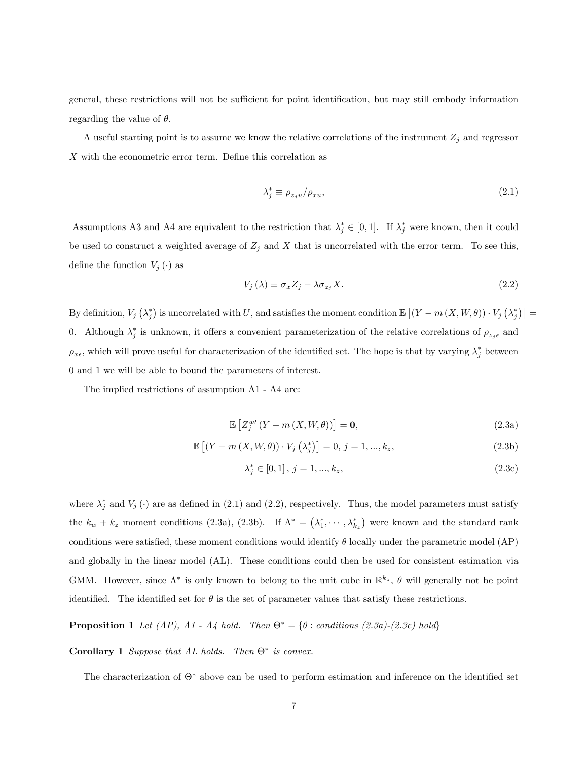general, these restrictions will not be sufficient for point identification, but may still embody information regarding the value of  $\theta$ .

A useful starting point is to assume we know the relative correlations of the instrument  $Z_j$  and regressor  $X$  with the econometric error term. Define this correlation as

$$
\lambda_j^* \equiv \rho_{z_j u}/\rho_{x u},\tag{2.1}
$$

Assumptions A3 and A4 are equivalent to the restriction that  $\lambda_j^* \in [0,1]$ . If  $\lambda_j^*$  were known, then it could be used to construct a weighted average of  $Z_j$  and X that is uncorrelated with the error term. To see this, define the function  $V_j(\cdot)$  as

$$
V_j(\lambda) \equiv \sigma_x Z_j - \lambda \sigma_{z_j} X. \tag{2.2}
$$

By definition,  $V_j(\lambda_j^*)$  is uncorrelated with U, and satisfies the moment condition  $\mathbb{E}\left[\left(Y-m\left(X,W,\theta\right)\right)\cdot V_j\left(\lambda_j^*\right)\right]=$ 0. Although  $\lambda_j^*$  is unknown, it offers a convenient parameterization of the relative correlations of  $\rho_{z_j\epsilon}$  and  $\rho_{x\epsilon}$ , which will prove useful for characterization of the identified set. The hope is that by varying  $\lambda_j^*$  between 0 and 1 we will be able to bound the parameters of interest.

The implied restrictions of assumption A1 - A4 are:

$$
\mathbb{E}\left[Z_{j}^{w'}(Y-m(X,W,\theta))\right]=\mathbf{0},\tag{2.3a}
$$

$$
\mathbb{E}\left[ (Y - m(X, W, \theta)) \cdot V_j \left( \lambda_j^* \right) \right] = 0, \, j = 1, ..., k_z,
$$
\n(2.3b)

$$
\lambda_j^* \in [0, 1], \, j = 1, ..., k_z,\tag{2.3c}
$$

where  $\lambda_j^*$  and  $V_j(\cdot)$  are as defined in (2.1) and (2.2), respectively. Thus, the model parameters must satisfy the  $k_w + k_z$  moment conditions (2.3a), (2.3b). If  $\Lambda^* = (\lambda_1^*, \cdots, \lambda_{k_z}^*)$  were known and the standard rank conditions were satisfied, these moment conditions would identify  $\theta$  locally under the parametric model (AP) and globally in the linear model (AL). These conditions could then be used for consistent estimation via GMM. However, since  $\Lambda^*$  is only known to belong to the unit cube in  $\mathbb{R}^{k_z}$ ,  $\theta$  will generally not be point identified. The identified set for  $\theta$  is the set of parameter values that satisfy these restrictions.

**Proposition 1** Let (AP), A1 - A4 hold. Then  $\Theta^* = {\theta : conditions (2.3a)-(2.3c) hold}$ 

**Corollary 1** Suppose that AL holds. Then  $\Theta^*$  is convex.

The characterization of  $\Theta^*$  above can be used to perform estimation and inference on the identified set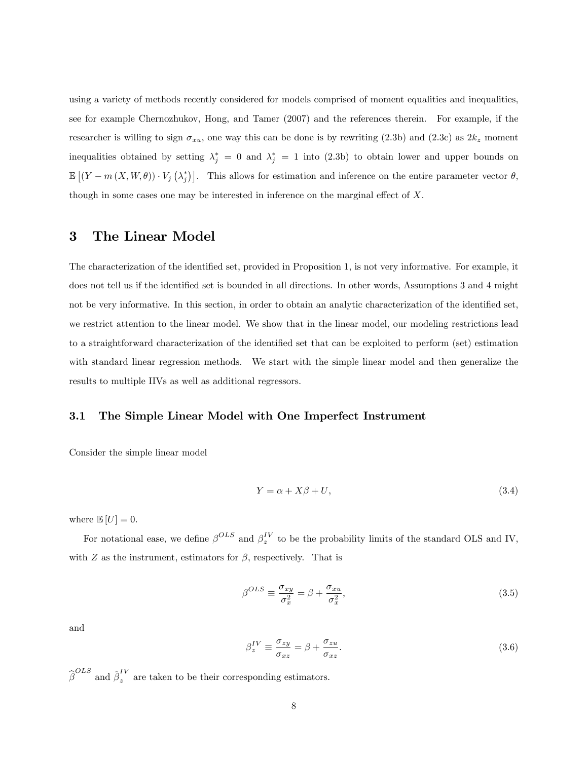using a variety of methods recently considered for models comprised of moment equalities and inequalities, see for example Chernozhukov, Hong, and Tamer (2007) and the references therein. For example, if the researcher is willing to sign  $\sigma_{xu}$ , one way this can be done is by rewriting (2.3b) and (2.3c) as  $2k_z$  moment inequalities obtained by setting  $\lambda_j^* = 0$  and  $\lambda_j^* = 1$  into  $(2.3b)$  to obtain lower and upper bounds on  $\mathbb{E}\left[\left(Y-m\left(X,W,\theta\right)\right)\cdot V_j\left(\lambda_j^*\right)\right]$ . This allows for estimation and inference on the entire parameter vector  $\theta$ , though in some cases one may be interested in inference on the marginal effect of  $X$ .

## 3 The Linear Model

The characterization of the identified set, provided in Proposition 1, is not very informative. For example, it does not tell us if the identified set is bounded in all directions. In other words, Assumptions 3 and 4 might not be very informative. In this section, in order to obtain an analytic characterization of the identified set, we restrict attention to the linear model. We show that in the linear model, our modeling restrictions lead to a straightforward characterization of the identified set that can be exploited to perform (set) estimation with standard linear regression methods. We start with the simple linear model and then generalize the results to multiple IIVs as well as additional regressors.

### 3.1 The Simple Linear Model with One Imperfect Instrument

Consider the simple linear model

$$
Y = \alpha + X\beta + U,\tag{3.4}
$$

where  $\mathbb{E}[U] = 0$ .

For notational ease, we define  $\beta^{OLS}$  and  $\beta_z^{IV}$  to be the probability limits of the standard OLS and IV, with  $Z$  as the instrument, estimators for  $\beta$ , respectively. That is

$$
\beta^{OLS} \equiv \frac{\sigma_{xy}}{\sigma_x^2} = \beta + \frac{\sigma_{xu}}{\sigma_x^2},\tag{3.5}
$$

and

$$
\beta_z^{IV} \equiv \frac{\sigma_{zy}}{\sigma_{xz}} = \beta + \frac{\sigma_{zu}}{\sigma_{xz}}.\tag{3.6}
$$

 $\widehat{\beta}^{OLS}$  and  $\widehat{\beta}_z^{IV}$  are taken to be their corresponding estimators.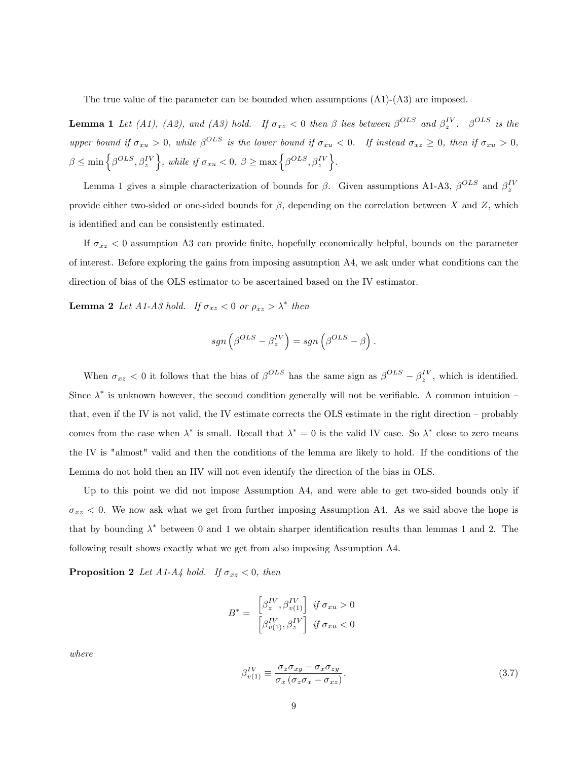The true value of the parameter can be bounded when assumptions (A1)-(A3) are imposed.

**Lemma 1** Let (A1), (A2), and (A3) hold. If  $\sigma_{xz} < 0$  then  $\beta$  lies between  $\beta^{OLS}$  and  $\beta_z^{IV}$ .  $\beta^{OLS}$  is the upper bound if  $\sigma_{xu} > 0$ , while  $\beta^{OLS}$  is the lower bound if  $\sigma_{xu} < 0$ . If instead  $\sigma_{xz} \geq 0$ , then if  $\sigma_{xu} > 0$ ,  $\beta \leq \min\left\{\beta^{OLS}, \beta_z^{IV}\right\}$ , while if  $\sigma_{xu} < 0$ ,  $\beta \geq \max\left\{\beta^{OLS}, \beta_z^{IV}\right\}$ .

Lemma 1 gives a simple characterization of bounds for  $\beta$ . Given assumptions A1-A3,  $\beta^{OLS}$  and  $\beta_z^{IV}$ provide either two-sided or one-sided bounds for  $\beta$ , depending on the correlation between X and Z, which is identified and can be consistently estimated.

If  $\sigma_{xz}$  < 0 assumption A3 can provide finite, hopefully economically helpful, bounds on the parameter of interest. Before exploring the gains from imposing assumption A4, we ask under what conditions can the direction of bias of the OLS estimator to be ascertained based on the IV estimator.

**Lemma 2** Let A1-A3 hold. If  $\sigma_{xz} < 0$  or  $\rho_{xz} > \lambda^*$  then

$$
sgn\left(\boldsymbol{\beta}^{OLS}-\boldsymbol{\beta}_z^{IV}\right)=sgn\left(\boldsymbol{\beta}^{OLS}-\boldsymbol{\beta}\right).
$$

When  $\sigma_{xz} < 0$  it follows that the bias of  $\beta^{OLS}$  has the same sign as  $\beta^{OLS} - \beta_z^{IV}$ , which is identified. Since  $\lambda^*$  is unknown however, the second condition generally will not be verifiable. A common intuition – that, even if the IV is not valid, the IV estimate corrects the OLS estimate in the right direction  $-$  probably comes from the case when  $\lambda^*$  is small. Recall that  $\lambda^* = 0$  is the valid IV case. So  $\lambda^*$  close to zero means the IV is "almost" valid and then the conditions of the lemma are likely to hold. If the conditions of the Lemma do not hold then an IIV will not even identify the direction of the bias in OLS.

Up to this point we did not impose Assumption A4, and were able to get two-sided bounds only if  $\sigma_{xz}$  < 0. We now ask what we get from further imposing Assumption A4. As we said above the hope is that by bounding  $\lambda^*$  between 0 and 1 we obtain sharper identification results than lemmas 1 and 2. The following result shows exactly what we get from also imposing Assumption A4.

**Proposition 2** Let A1-A4 hold. If  $\sigma_{xz} < 0$ , then

$$
B^* = \begin{bmatrix} \beta_z^{IV}, \beta_{v(1)}^{IV} \\ \beta_{v(1)}^{IV}, \beta_z^{IV} \end{bmatrix} \text{ if } \sigma_{xu} > 0
$$

where

$$
\beta_{v(1)}^{IV} \equiv \frac{\sigma_z \sigma_{xy} - \sigma_x \sigma_{zy}}{\sigma_x \left(\sigma_z \sigma_x - \sigma_{xz}\right)}.
$$
\n(3.7)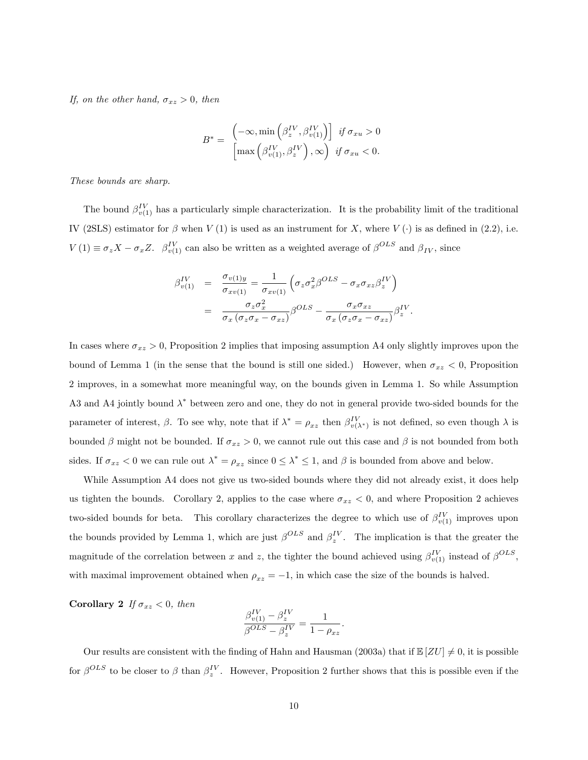If, on the other hand,  $\sigma_{xz} > 0$ , then

$$
B^* = \begin{pmatrix} -\infty, \min\left(\beta_z^{IV}, \beta_{v(1)}^{IV}\right) & \text{if } \sigma_{xu} > 0\\ \max\left(\beta_{v(1)}^{IV}, \beta_z^{IV}\right), \infty & \text{if } \sigma_{xu} < 0. \end{pmatrix}
$$

These bounds are sharp.

The bound  $\beta_{v(1)}^{IV}$  has a particularly simple characterization. It is the probability limit of the traditional IV (2SLS) estimator for  $\beta$  when V (1) is used as an instrument for X, where V ( $\cdot$ ) is as defined in (2.2), i.e.  $V(1) \equiv \sigma_z X - \sigma_x Z$ .  $\beta_{v(1)}^{IV}$  can also be written as a weighted average of  $\beta^{OLS}$  and  $\beta_{IV}$ , since

$$
\beta_{v(1)}^{IV} = \frac{\sigma_{v(1)y}}{\sigma_{xv(1)}} = \frac{1}{\sigma_{xv(1)}} \left( \sigma_z \sigma_x^2 \beta^{OLS} - \sigma_x \sigma_{xz} \beta_z^{IV} \right)
$$

$$
= \frac{\sigma_z \sigma_x^2}{\sigma_x \left( \sigma_z \sigma_x - \sigma_{xz} \right)} \beta^{OLS} - \frac{\sigma_x \sigma_{xz}}{\sigma_x \left( \sigma_z \sigma_x - \sigma_{xz} \right)} \beta_z^{IV}
$$

.

In cases where  $\sigma_{xz} > 0$ , Proposition 2 implies that imposing assumption A4 only slightly improves upon the bound of Lemma 1 (in the sense that the bound is still one sided.) However, when  $\sigma_{xz} < 0$ , Proposition 2 improves, in a somewhat more meaningful way, on the bounds given in Lemma 1. So while Assumption A3 and A4 jointly bound  $\lambda^*$  between zero and one, they do not in general provide two-sided bounds for the parameter of interest,  $\beta$ . To see why, note that if  $\lambda^* = \rho_{xz}$  then  $\beta_{v(\lambda^*)}^{IV}$  is not defined, so even though  $\lambda$  is bounded  $\beta$  might not be bounded. If  $\sigma_{xz} > 0$ , we cannot rule out this case and  $\beta$  is not bounded from both sides. If  $\sigma_{xz} < 0$  we can rule out  $\lambda^* = \rho_{xz}$  since  $0 \le \lambda^* \le 1$ , and  $\beta$  is bounded from above and below.

While Assumption A4 does not give us two-sided bounds where they did not already exist, it does help us tighten the bounds. Corollary 2, applies to the case where  $\sigma_{xz} < 0$ , and where Proposition 2 achieves two-sided bounds for beta. This corollary characterizes the degree to which use of  $\beta_{v(1)}^{IV}$  improves upon the bounds provided by Lemma 1, which are just  $\beta^{OLS}$  and  $\beta_z^{IV}$ . The implication is that the greater the magnitude of the correlation between x and z, the tighter the bound achieved using  $\beta_{v(1)}^{IV}$  instead of  $\beta^{OLS}$ , with maximal improvement obtained when  $\rho_{xz} = -1$ , in which case the size of the bounds is halved.

Corollary 2 If  $\sigma_{xz} < 0$ , then

$$
\frac{\beta_{v(1)}^{IV} - \beta_z^{IV}}{\beta^{OLS} - \beta_z^{IV}} = \frac{1}{1 - \rho_{xz}}.
$$

Our results are consistent with the finding of Hahn and Hausman (2003a) that if  $\mathbb{E}[ZU] \neq 0$ , it is possible for  $\beta^{OLS}$  to be closer to  $\beta$  than  $\beta_z^{IV}$ . However, Proposition 2 further shows that this is possible even if the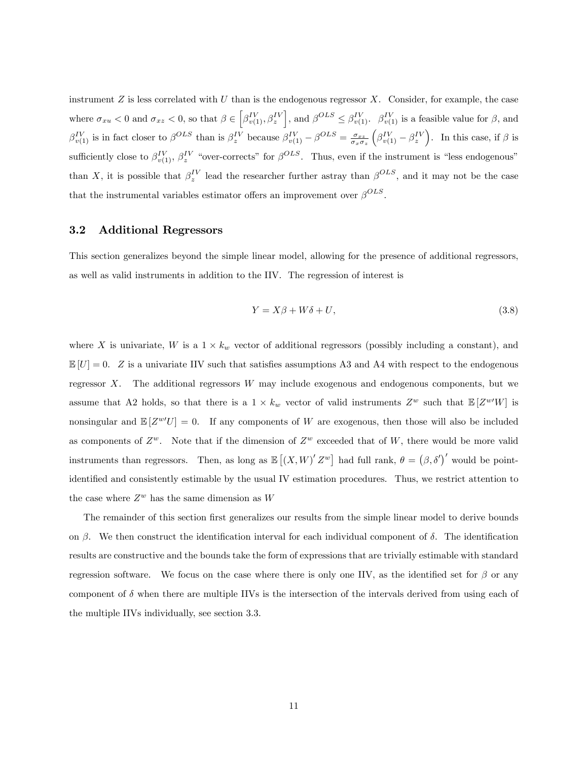instrument  $Z$  is less correlated with  $U$  than is the endogenous regressor  $X$ . Consider, for example, the case where  $\sigma_{xu} < 0$  and  $\sigma_{xz} < 0$ , so that  $\beta \in \left[ \beta_{v(1)}^{IV}, \beta_{z}^{IV} \right]$ , and  $\beta^{OLS} \leq \beta_{v(1)}^{IV}$ .  $\beta_{v(1)}^{IV}$  is a feasible value for  $\beta$ , and  $\beta_{v(1)}^{IV}$  is in fact closer to  $\beta_{V}^{OLS}$  than is  $\beta_{z}^{IV}$  because  $\beta_{v(1)}^{IV} - \beta_{V}^{OLS} = \frac{\sigma_{xz}}{\sigma_x \sigma_z}$  $(\beta_{v(1)}^{IV} - \beta_{z}^{IV})$ . In this case, if  $\beta$  is sufficiently close to  $\beta_{v(1)}^{IV}$ ,  $\beta_{z}^{IV}$  "over-corrects" for  $\beta^{OLS}$ . Thus, even if the instrument is "less endogenous" than X, it is possible that  $\beta_z^{IV}$  lead the researcher further astray than  $\beta^{OLS}$ , and it may not be the case that the instrumental variables estimator offers an improvement over  $\beta^{OLS}$ .

#### 3.2 Additional Regressors

This section generalizes beyond the simple linear model, allowing for the presence of additional regressors, as well as valid instruments in addition to the IIV. The regression of interest is

$$
Y = X\beta + W\delta + U,\tag{3.8}
$$

where X is univariate, W is a  $1 \times k_w$  vector of additional regressors (possibly including a constant), and  $\mathbb{E}[U] = 0$ . Z is a univariate IIV such that satisfies assumptions A3 and A4 with respect to the endogenous regressor X. The additional regressors W may include exogenous and endogenous components, but we assume that A2 holds, so that there is a  $1 \times k_w$  vector of valid instruments  $Z^w$  such that  $\mathbb{E}[Z^{w'}W]$  is nonsingular and  $\mathbb{E}[Z^{\omega'}U] = 0$ . If any components of W are exogenous, then those will also be included as components of  $Z^w$ . Note that if the dimension of  $Z^w$  exceeded that of W, there would be more valid instruments than regressors. Then, as long as  $\mathbb{E}[(X,W)'Z^w]$  had full rank,  $\theta = (\beta, \delta')'$  would be pointidentified and consistently estimable by the usual IV estimation procedures. Thus, we restrict attention to the case where  $Z^w$  has the same dimension as W

The remainder of this section first generalizes our results from the simple linear model to derive bounds on  $\beta$ . We then construct the identification interval for each individual component of  $\delta$ . The identification results are constructive and the bounds take the form of expressions that are trivially estimable with standard regression software. We focus on the case where there is only one IIV, as the identified set for  $\beta$  or any component of  $\delta$  when there are multiple IIVs is the intersection of the intervals derived from using each of the multiple IIVs individually, see section 3.3.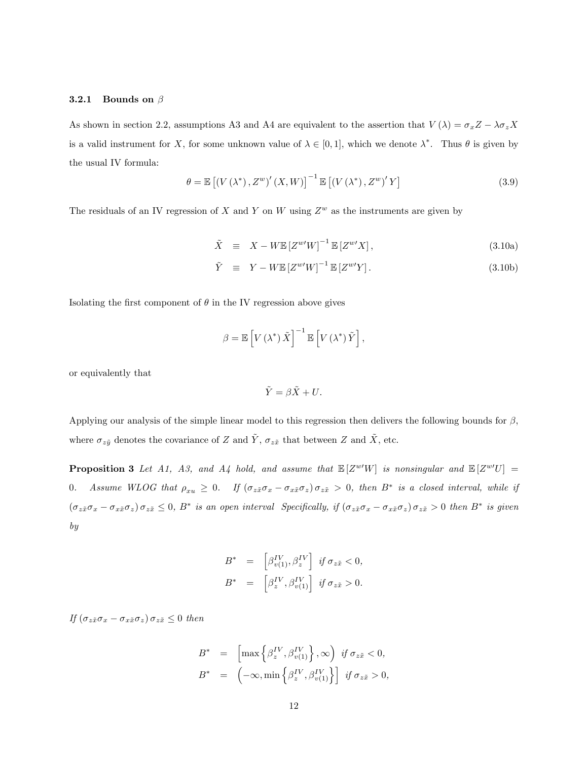#### **3.2.1 Bounds on**  $\beta$

As shown in section 2.2, assumptions A3 and A4 are equivalent to the assertion that  $V(\lambda) = \sigma_x Z - \lambda \sigma_z X$ is a valid instrument for X, for some unknown value of  $\lambda \in [0,1]$ , which we denote  $\lambda^*$ . Thus  $\theta$  is given by the usual IV formula:

$$
\theta = \mathbb{E}\left[\left(V\left(\lambda^*\right), Z^w\right)'\left(X, W\right)\right]^{-1} \mathbb{E}\left[\left(V\left(\lambda^*\right), Z^w\right)'\left(Y\right]\right] \tag{3.9}
$$

The residuals of an IV regression of X and Y on W using  $Z^w$  as the instruments are given by

$$
\tilde{X} \equiv X - W \mathbb{E} \left[ Z^{w'} W \right]^{-1} \mathbb{E} \left[ Z^{w'} X \right], \tag{3.10a}
$$

$$
\tilde{Y} \equiv Y - W \mathbb{E} \left[ Z^{w'} W \right]^{-1} \mathbb{E} \left[ Z^{w'} Y \right]. \tag{3.10b}
$$

Isolating the first component of  $\theta$  in the IV regression above gives

$$
\beta = \mathbb{E}\left[V\left(\lambda^*\right)\tilde{X}\right]^{-1}\mathbb{E}\left[V\left(\lambda^*\right)\tilde{Y}\right],
$$

or equivalently that

$$
\tilde{Y} = \beta \tilde{X} + U.
$$

Applying our analysis of the simple linear model to this regression then delivers the following bounds for  $\beta$ , where  $\sigma_{z\tilde{y}}$  denotes the covariance of Z and  $\tilde{Y}$ ,  $\sigma_{z\tilde{x}}$  that between Z and  $\tilde{X}$ , etc.

**Proposition 3** Let A1, A3, and A4 hold, and assume that  $\mathbb{E}[Z^{w'}W]$  is nonsingular and  $\mathbb{E}[Z^{w'}U] =$ 0. Assume WLOG that  $\rho_{xu} \ge 0$ . If  $(\sigma_{z\tilde{x}}\sigma_x - \sigma_{x\tilde{x}}\sigma_z) \sigma_{z\tilde{x}} > 0$ , then  $B^*$  is a closed interval, while if  $(\sigma_{z\tilde{x}}\sigma_x-\sigma_{x\tilde{x}}\sigma_z)\sigma_{z\tilde{x}}\leq 0, B^*$  is an open interval Specifically, if  $(\sigma_{z\tilde{x}}\sigma_x-\sigma_{x\tilde{x}}\sigma_z)\sigma_{z\tilde{x}}$  > 0 then  $B^*$  is given by

$$
B^* = \begin{bmatrix} \beta_{v(1)}^{\mathit{IV}}, \beta_{z}^{\mathit{IV}} \end{bmatrix} \text{ if } \sigma_{z\tilde{x}} < 0,
$$
  

$$
B^* = \begin{bmatrix} \beta_{z}^{\mathit{IV}}, \beta_{v(1)}^{\mathit{IV}} \end{bmatrix} \text{ if } \sigma_{z\tilde{x}} > 0.
$$

If  $(\sigma_{z\tilde{x}}\sigma_x - \sigma_{x\tilde{x}}\sigma_z)\sigma_{z\tilde{x}} \leq 0$  then

$$
B^* = \left[ \max \left\{ \beta_z^{IV}, \beta_{v(1)}^{IV} \right\}, \infty \right) \text{ if } \sigma_{z\tilde{x}} < 0,
$$
  

$$
B^* = \left( -\infty, \min \left\{ \beta_z^{IV}, \beta_{v(1)}^{IV} \right\} \right] \text{ if } \sigma_{z\tilde{x}} > 0,
$$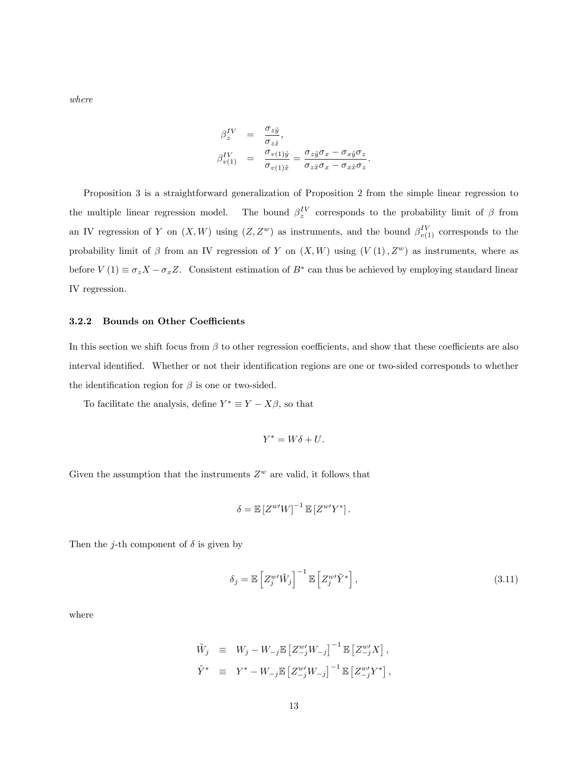where

$$
\begin{array}{rcl} \beta^{IV}_{z} & = & \displaystyle{\frac{\sigma_{z\tilde{y}}}{\sigma_{z\tilde{x}}}},\\ \beta^{IV}_{v(1)} & = & \displaystyle{\frac{\sigma_{v(1)\tilde{y}}}{\sigma_{v(1)\tilde{x}}}} = \displaystyle{\frac{\sigma_{z\tilde{y}}\sigma_{x} - \sigma_{x\tilde{y}}\sigma_{z}}{\sigma_{z\tilde{x}}\sigma_{x} - \sigma_{x\tilde{x}}\sigma_{z}}}. \end{array}
$$

Proposition 3 is a straightforward generalization of Proposition 2 from the simple linear regression to the multiple linear regression model.  $\,$  $I_z^V$  corresponds to the probability limit of  $\beta$  from an IV regression of Y on  $(X, W)$  using  $(Z, Z^w)$  as instruments, and the bound  $\beta_{v(1)}^{IV}$  corresponds to the probability limit of  $\beta$  from an IV regression of Y on  $(X, W)$  using  $(V(1), Z<sup>w</sup>)$  as instruments, where as before  $V(1) \equiv \sigma_z X - \sigma_x Z$ . Consistent estimation of  $B^*$  can thus be achieved by employing standard linear IV regression.

#### 3.2.2 Bounds on Other Coefficients

In this section we shift focus from  $\beta$  to other regression coefficients, and show that these coefficients are also interval identified. Whether or not their identification regions are one or two-sided corresponds to whether the identification region for  $\beta$  is one or two-sided.

To facilitate the analysis, define  $Y^* \equiv Y - X\beta$ , so that

$$
Y^* = W\delta + U.
$$

Given the assumption that the instruments  $Z^w$  are valid, it follows that

$$
\delta = \mathbb{E}\left[Z^{w'}W\right]^{-1}\mathbb{E}\left[Z^{w'}Y^*\right].
$$

Then the *j*-th component of  $\delta$  is given by

$$
\delta_j = \mathbb{E}\left[Z_j^{w\prime}\tilde{W}_j\right]^{-1} \mathbb{E}\left[Z_j^{w\prime}\tilde{Y}^*\right],\tag{3.11}
$$

where

$$
\tilde{W}_j \equiv W_j - W_{-j} \mathbb{E} \left[ Z_{-j}^{w'} W_{-j} \right]^{-1} \mathbb{E} \left[ Z_{-j}^{w'} X \right],
$$
  

$$
\tilde{Y}^* \equiv Y^* - W_{-j} \mathbb{E} \left[ Z_{-j}^{w'} W_{-j} \right]^{-1} \mathbb{E} \left[ Z_{-j}^{w'} Y^* \right],
$$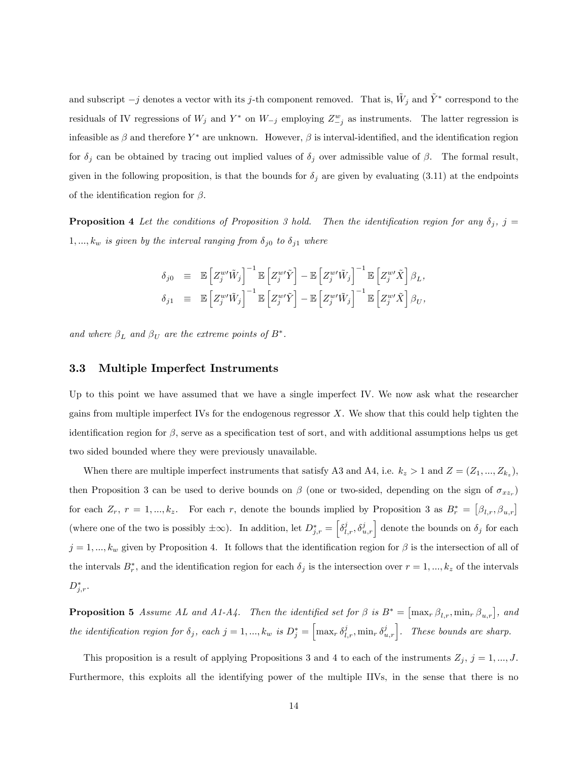and subscript  $-j$  denotes a vector with its j-th component removed. That is,  $\tilde{W}_j$  and  $\tilde{Y}^*$  correspond to the residuals of IV regressions of  $W_j$  and  $Y^*$  on  $W_{-j}$  employing  $Z^w_{-j}$  as instruments. The latter regression is infeasible as  $\beta$  and therefore  $Y^*$  are unknown. However,  $\beta$  is interval-identified, and the identification region for  $\delta_j$  can be obtained by tracing out implied values of  $\delta_j$  over admissible value of  $\beta$ . The formal result, given in the following proposition, is that the bounds for  $\delta_j$  are given by evaluating (3.11) at the endpoints of the identification region for  $\beta$ .

**Proposition 4** Let the conditions of Proposition 3 hold. Then the identification region for any  $\delta_i$ , j =  $1, ..., k_w$  is given by the interval ranging from  $\delta_{j0}$  to  $\delta_{j1}$  where

$$
\begin{array}{rcl} \delta_{j0} & \equiv & \mathbb{E} \left[ Z_j^{w \prime} \tilde{W}_j \right]^{-1} \mathbb{E} \left[ Z_j^{w \prime} \tilde{Y} \right] - \mathbb{E} \left[ Z_j^{w \prime} \tilde{W}_j \right]^{-1} \mathbb{E} \left[ Z_j^{w \prime} \tilde{X} \right] \beta_L, \\ \delta_{j1} & \equiv & \mathbb{E} \left[ Z_j^{w \prime} \tilde{W}_j \right]^{-1} \mathbb{E} \left[ Z_j^{w \prime} \tilde{Y} \right] - \mathbb{E} \left[ Z_j^{w \prime} \tilde{W}_j \right]^{-1} \mathbb{E} \left[ Z_j^{w \prime} \tilde{X} \right] \beta_U, \end{array}
$$

and where  $\beta_L$  and  $\beta_U$  are the extreme points of  $B^*$ .

#### 3.3 Multiple Imperfect Instruments

Up to this point we have assumed that we have a single imperfect IV. We now ask what the researcher gains from multiple imperfect IVs for the endogenous regressor X. We show that this could help tighten the identification region for  $\beta$ , serve as a specification test of sort, and with additional assumptions helps us get two sided bounded where they were previously unavailable.

When there are multiple imperfect instruments that satisfy A3 and A4, i.e.  $k_z > 1$  and  $Z = (Z_1, ..., Z_{k_z}),$ then Proposition 3 can be used to derive bounds on  $\beta$  (one or two-sided, depending on the sign of  $\sigma_{xxr}$ ) for each  $Z_r$ ,  $r = 1, ..., k_z$ . For each r, denote the bounds implied by Proposition 3 as  $B_r^* = [\beta_{l,r}, \beta_{u,r}]$ (where one of the two is possibly  $\pm \infty$ ). In addition, let  $D_{j,r}^* = \left[\delta_{l,r}^j, \delta_{u,r}^j\right]$  denote the bounds on  $\delta_j$  for each  $j = 1, ..., k_w$  given by Proposition 4. It follows that the identification region for  $\beta$  is the intersection of all of the intervals  $B_r^*$ , and the identification region for each  $\delta_j$  is the intersection over  $r = 1, ..., k_z$  of the intervals  $D_{j,r}^*$ .

**Proposition 5** Assume AL and A1-A4. Then the identified set for  $\beta$  is  $B^* = [\max_r \beta_{l,r}, \min_r \beta_{u,r}]$ , and the identification region for  $\delta_j$ , each  $j = 1, ..., k_w$  is  $D_j^* = \left[\max_r \delta_{l,r}^j, \min_r \delta_{u,r}^j\right]$ . These bounds are sharp.

This proposition is a result of applying Propositions 3 and 4 to each of the instruments  $Z_j$ ,  $j = 1, ..., J$ . Furthermore, this exploits all the identifying power of the multiple IIVs, in the sense that there is no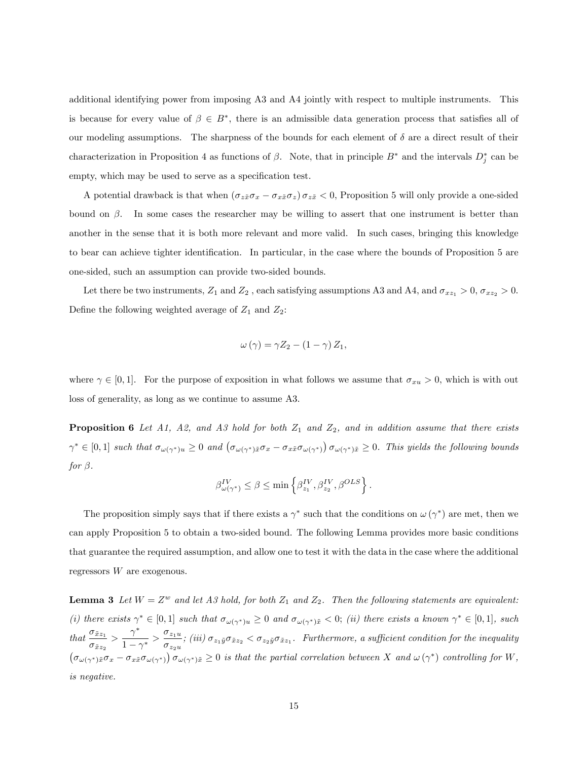additional identifying power from imposing A3 and A4 jointly with respect to multiple instruments. This is because for every value of  $\beta \in B^*$ , there is an admissible data generation process that satisfies all of our modeling assumptions. The sharpness of the bounds for each element of  $\delta$  are a direct result of their characterization in Proposition 4 as functions of  $\beta$ . Note, that in principle  $B^*$  and the intervals  $D_j^*$  can be empty, which may be used to serve as a specification test.

A potential drawback is that when  $(\sigma_{z\bar{x}}\sigma_x - \sigma_{x\bar{x}}\sigma_z) \sigma_{z\bar{x}} < 0$ , Proposition 5 will only provide a one-sided bound on  $\beta$ . In some cases the researcher may be willing to assert that one instrument is better than another in the sense that it is both more relevant and more valid. In such cases, bringing this knowledge to bear can achieve tighter identification. In particular, in the case where the bounds of Proposition 5 are one-sided, such an assumption can provide two-sided bounds.

Let there be two instruments,  $Z_1$  and  $Z_2$ , each satisfying assumptions A3 and A4, and  $\sigma_{xz_1} > 0$ ,  $\sigma_{xz_2} > 0$ . Define the following weighted average of  $Z_1$  and  $Z_2$ :

$$
\omega(\gamma) = \gamma Z_2 - (1 - \gamma) Z_1,
$$

where  $\gamma \in [0, 1]$ . For the purpose of exposition in what follows we assume that  $\sigma_{xu} > 0$ , which is with out loss of generality, as long as we continue to assume A3.

**Proposition 6** Let A1, A2, and A3 hold for both  $Z_1$  and  $Z_2$ , and in addition assume that there exists  $\gamma^* \in [0,1]$  such that  $\sigma_{\omega(\gamma^*)u} \geq 0$  and  $(\sigma_{\omega(\gamma^*)\tilde{x}} \sigma_x - \sigma_{x\tilde{x}} \sigma_{\omega(\gamma^*)}) \sigma_{\omega(\gamma^*)\tilde{x}} \geq 0$ . This yields the following bounds for  $\beta$ .

$$
\beta_{\omega(\gamma^*)}^{IV} \leq \beta \leq \min\left\{\beta^{IV}_{z_1},\beta^{IV}_{z_2},\beta^{OLS}\right\}.
$$

The proposition simply says that if there exists a  $\gamma^*$  such that the conditions on  $\omega(\gamma^*)$  are met, then we can apply Proposition 5 to obtain a two-sided bound. The following Lemma provides more basic conditions that guarantee the required assumption, and allow one to test it with the data in the case where the additional regressors W are exogenous.

**Lemma 3** Let  $W = Z^w$  and let A3 hold, for both  $Z_1$  and  $Z_2$ . Then the following statements are equivalent: (i) there exists  $\gamma^* \in [0,1]$  such that  $\sigma_{\omega(\gamma^*)u} \geq 0$  and  $\sigma_{\omega(\gamma^*)\tilde{x}} < 0$ ; (ii) there exists a known  $\gamma^* \in [0,1]$ , such that  $\frac{\sigma_{\tilde{x}z_1}}{x}$  $\frac{\sigma_{\tilde{x}z_1}}{\sigma_{\tilde{x}z_2}} > \frac{\gamma^*}{1-\gamma}$  $\frac{\gamma^*}{1-\gamma^*} > \frac{\sigma_{z_1u}}{\sigma_{z_2u}}$  $\frac{\sigma_{z_1u}}{\sigma_{z_2u}}$ ; (iii)  $\sigma_{z_1\tilde{y}}\sigma_{\tilde{x}z_2} < \sigma_{z_2\tilde{y}}\sigma_{\tilde{x}z_1}$ . Furthermore, a sufficient condition for the inequality  $\left(\sigma_{\omega(\gamma^*)\tilde{x}}\sigma_x - \sigma_{x\tilde{x}}\sigma_{\omega(\gamma^*)}\right)\sigma_{\omega(\gamma^*)\tilde{x}} \geq 0$  is that the partial correlation between X and  $\omega(\gamma^*)$  controlling for W, is negative.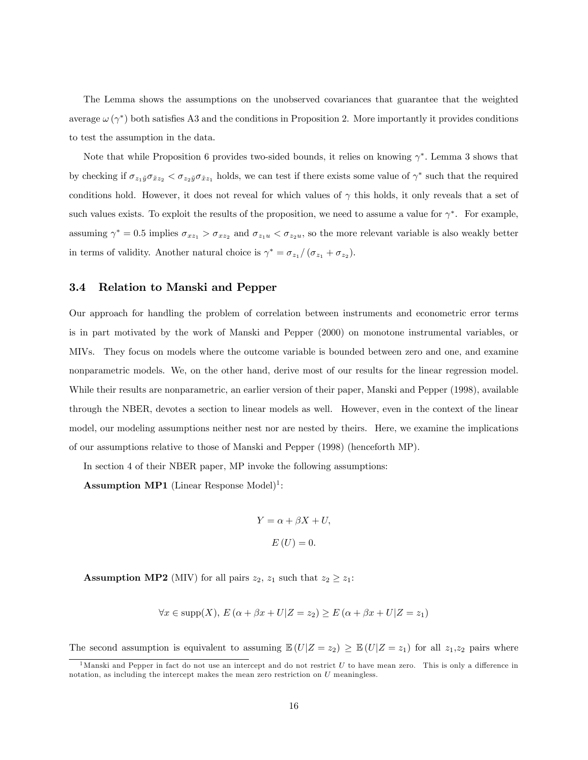The Lemma shows the assumptions on the unobserved covariances that guarantee that the weighted average  $\omega(\gamma^*)$  both satisfies A3 and the conditions in Proposition 2. More importantly it provides conditions to test the assumption in the data.

Note that while Proposition 6 provides two-sided bounds, it relies on knowing  $\gamma^*$ . Lemma 3 shows that by checking if  $\sigma_{z_1\tilde{y}}\sigma_{\tilde{x}z_2} < \sigma_{z_2\tilde{y}}\sigma_{\tilde{x}z_1}$  holds, we can test if there exists some value of  $\gamma^*$  such that the required conditions hold. However, it does not reveal for which values of  $\gamma$  this holds, it only reveals that a set of such values exists. To exploit the results of the proposition, we need to assume a value for  $\gamma^*$ . For example, assuming  $\gamma^* = 0.5$  implies  $\sigma_{xz_1} > \sigma_{xz_2}$  and  $\sigma_{z_1u} < \sigma_{z_2u}$ , so the more relevant variable is also weakly better in terms of validity. Another natural choice is  $\gamma^* = \sigma_{z_1}/(\sigma_{z_1} + \sigma_{z_2})$ .

#### 3.4 Relation to Manski and Pepper

Our approach for handling the problem of correlation between instruments and econometric error terms is in part motivated by the work of Manski and Pepper (2000) on monotone instrumental variables, or MIVs. They focus on models where the outcome variable is bounded between zero and one, and examine nonparametric models. We, on the other hand, derive most of our results for the linear regression model. While their results are nonparametric, an earlier version of their paper, Manski and Pepper (1998), available through the NBER, devotes a section to linear models as well. However, even in the context of the linear model, our modeling assumptions neither nest nor are nested by theirs. Here, we examine the implications of our assumptions relative to those of Manski and Pepper (1998) (henceforth MP).

In section 4 of their NBER paper, MP invoke the following assumptions:

**Assumption MP1** (Linear Response Model)<sup>1</sup>:

$$
Y = \alpha + \beta X + U,
$$
  

$$
E(U) = 0.
$$

**Assumption MP2** (MIV) for all pairs  $z_2$ ,  $z_1$  such that  $z_2 \geq z_1$ :

$$
\forall x \in \text{supp}(X), \, E\left(\alpha + \beta x + U|Z = z_2\right) \ge E\left(\alpha + \beta x + U|Z = z_1\right)
$$

The second assumption is equivalent to assuming  $\mathbb{E}(U|Z=z_2) \geq \mathbb{E}(U|Z=z_1)$  for all  $z_1,z_2$  pairs where

 $<sup>1</sup>$ Manski and Pepper in fact do not use an intercept and do not restrict U to have mean zero. This is only a difference in</sup> notation, as including the intercept makes the mean zero restriction on U meaningless.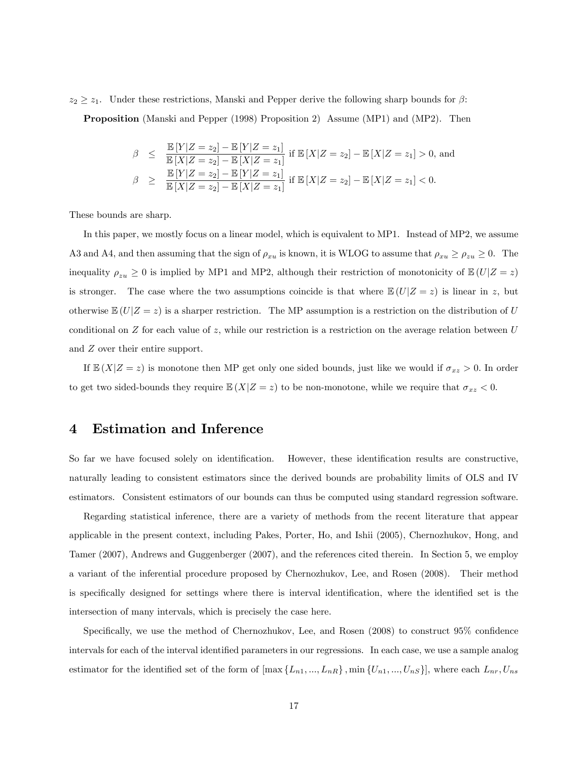$z_2 \geq z_1$ . Under these restrictions, Manski and Pepper derive the following sharp bounds for  $\beta$ :

Proposition (Manski and Pepper (1998) Proposition 2) Assume (MP1) and (MP2). Then

$$
\beta \leq \frac{\mathbb{E}[Y|Z=z_2] - \mathbb{E}[Y|Z=z_1]}{\mathbb{E}[X|Z=z_2] - \mathbb{E}[X|Z=z_1]} \text{ if } \mathbb{E}[X|Z=z_2] - \mathbb{E}[X|Z=z_1] > 0, \text{ and}
$$
\n
$$
\beta \geq \frac{\mathbb{E}[Y|Z=z_2] - \mathbb{E}[Y|Z=z_1]}{\mathbb{E}[X|Z=z_2] - \mathbb{E}[X|Z=z_1]} \text{ if } \mathbb{E}[X|Z=z_2] - \mathbb{E}[X|Z=z_1] < 0.
$$

These bounds are sharp.

In this paper, we mostly focus on a linear model, which is equivalent to MP1. Instead of MP2, we assume A3 and A4, and then assuming that the sign of  $\rho_{xu}$  is known, it is WLOG to assume that  $\rho_{xu} \ge \rho_{zu} \ge 0$ . The inequality  $\rho_{zu} \ge 0$  is implied by MP1 and MP2, although their restriction of monotonicity of  $\mathbb{E}(U|Z=z)$ is stronger. The case where the two assumptions coincide is that where  $\mathbb{E}(U|Z=z)$  is linear in z, but otherwise  $\mathbb{E}(U|Z=z)$  is a sharper restriction. The MP assumption is a restriction on the distribution of U conditional on  $Z$  for each value of  $z$ , while our restriction is a restriction on the average relation between  $U$ and Z over their entire support.

If  $\mathbb{E}(X|Z=z)$  is monotone then MP get only one sided bounds, just like we would if  $\sigma_{xz} > 0$ . In order to get two sided-bounds they require  $\mathbb{E}(X|Z=z)$  to be non-monotone, while we require that  $\sigma_{xz} < 0$ .

## 4 Estimation and Inference

So far we have focused solely on identification. However, these identification results are constructive, naturally leading to consistent estimators since the derived bounds are probability limits of OLS and IV estimators. Consistent estimators of our bounds can thus be computed using standard regression software.

Regarding statistical inference, there are a variety of methods from the recent literature that appear applicable in the present context, including Pakes, Porter, Ho, and Ishii (2005), Chernozhukov, Hong, and Tamer (2007), Andrews and Guggenberger (2007), and the references cited therein. In Section 5, we employ a variant of the inferential procedure proposed by Chernozhukov, Lee, and Rosen (2008). Their method is specifically designed for settings where there is interval identification, where the identified set is the intersection of many intervals, which is precisely the case here.

Specifically, we use the method of Chernozhukov, Lee, and Rosen  $(2008)$  to construct 95% confidence intervals for each of the interval identified parameters in our regressions. In each case, we use a sample analog estimator for the identified set of the form of  $[\max\{L_{n1},..., L_{nR}\}\$ , min  $\{U_{n1},..., U_{nS}\}]$ , where each  $L_{nr}, U_{ns}$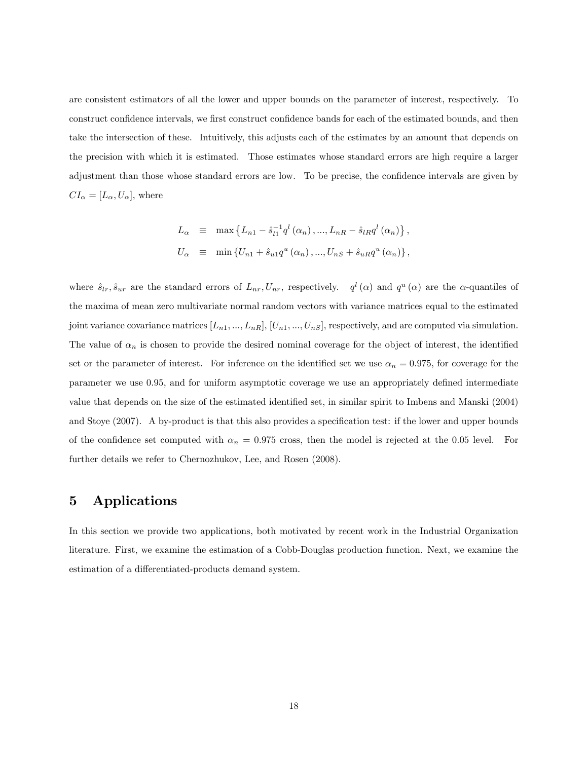are consistent estimators of all the lower and upper bounds on the parameter of interest, respectively. To construct confidence intervals, we first construct confidence bands for each of the estimated bounds, and then take the intersection of these. Intuitively, this adjusts each of the estimates by an amount that depends on the precision with which it is estimated. Those estimates whose standard errors are high require a larger adjustment than those whose standard errors are low. To be precise, the confidence intervals are given by  $CI_{\alpha} = [L_{\alpha}, U_{\alpha}],$  where

$$
L_{\alpha} \equiv \max \{ L_{n1} - \hat{s}_{l1}^{-1} q^{l} (\alpha_{n}), ..., L_{nR} - \hat{s}_{lR} q^{l} (\alpha_{n}) \},
$$
  

$$
U_{\alpha} \equiv \min \{ U_{n1} + \hat{s}_{u1} q^{u} (\alpha_{n}), ..., U_{nS} + \hat{s}_{uR} q^{u} (\alpha_{n}) \},
$$

where  $\hat{s}_{lr}$ ,  $\hat{s}_{ur}$  are the standard errors of  $L_{nr}$ ,  $U_{nr}$ , respectively.  $q^l(\alpha)$  and  $q^u(\alpha)$  are the  $\alpha$ -quantiles of the maxima of mean zero multivariate normal random vectors with variance matrices equal to the estimated joint variance covariance matrices  $[L_{n1},..., L_{nR}], [U_{n1},..., U_{nS}],$  respectively, and are computed via simulation. The value of  $\alpha_n$  is chosen to provide the desired nominal coverage for the object of interest, the identified set or the parameter of interest. For inference on the identified set we use  $\alpha_n = 0.975$ , for coverage for the parameter we use 0.95, and for uniform asymptotic coverage we use an appropriately defined intermediate value that depends on the size of the estimated identified set, in similar spirit to Imbens and Manski (2004) and Stoye (2007). A by-product is that this also provides a specification test: if the lower and upper bounds of the confidence set computed with  $\alpha_n = 0.975$  cross, then the model is rejected at the 0.05 level. For further details we refer to Chernozhukov, Lee, and Rosen (2008).

## 5 Applications

In this section we provide two applications, both motivated by recent work in the Industrial Organization literature. First, we examine the estimation of a Cobb-Douglas production function. Next, we examine the estimation of a differentiated-products demand system.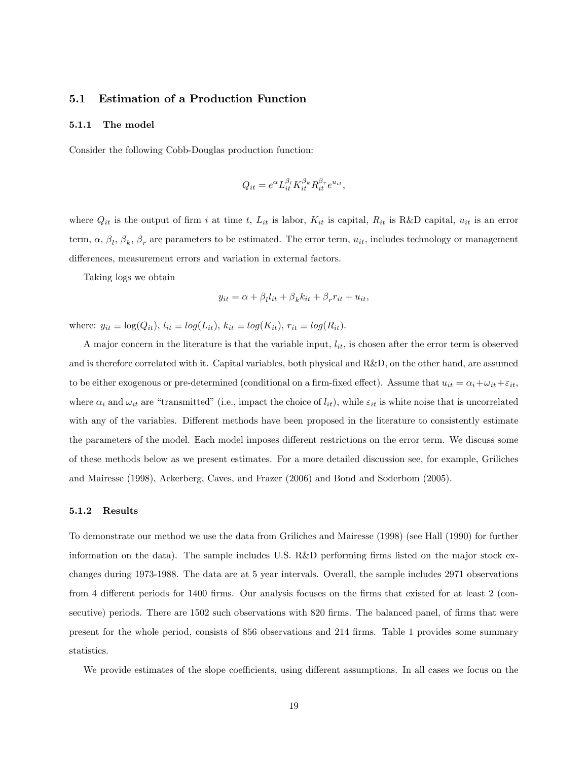#### 5.1 Estimation of a Production Function

#### 5.1.1 The model

Consider the following Cobb-Douglas production function:

$$
Q_{it} = e^{\alpha} L_{it}^{\beta_l} K_{it}^{\beta_k} R_{it}^{\beta_r} e^{u_{it}},
$$

where  $Q_{it}$  is the output of firm i at time t,  $L_{it}$  is labor,  $K_{it}$  is capital,  $R_{it}$  is R&D capital,  $u_{it}$  is an error term,  $\alpha$ ,  $\beta_l$ ,  $\beta_k$ ,  $\beta_r$  are parameters to be estimated. The error term,  $u_{it}$ , includes technology or management differences, measurement errors and variation in external factors.

Taking logs we obtain

$$
y_{it} = \alpha + \beta_l l_{it} + \beta_k k_{it} + \beta_r r_{it} + u_{it},
$$

where:  $y_{it} \equiv \log(Q_{it}),$   $l_{it} \equiv \log(L_{it}),$   $k_{it} \equiv \log(K_{it}),$   $r_{it} \equiv \log(R_{it}).$ 

A major concern in the literature is that the variable input,  $l_{it}$ , is chosen after the error term is observed and is therefore correlated with it. Capital variables, both physical and R&D, on the other hand, are assumed to be either exogenous or pre-determined (conditional on a firm-fixed effect). Assume that  $u_{it} = \alpha_i + \omega_{it} + \varepsilon_{it}$ , where  $\alpha_i$  and  $\omega_{it}$  are "transmitted" (i.e., impact the choice of  $l_{it}$ ), while  $\varepsilon_{it}$  is white noise that is uncorrelated with any of the variables. Different methods have been proposed in the literature to consistently estimate the parameters of the model. Each model imposes different restrictions on the error term. We discuss some of these methods below as we present estimates. For a more detailed discussion see, for example, Griliches and Mairesse (1998), Ackerberg, Caves, and Frazer (2006) and Bond and Soderbom (2005).

#### 5.1.2 Results

To demonstrate our method we use the data from Griliches and Mairesse (1998) (see Hall (1990) for further information on the data). The sample includes U.S.  $R\&D$  performing firms listed on the major stock exchanges during 1973-1988. The data are at 5 year intervals. Overall, the sample includes 2971 observations from 4 different periods for 1400 firms. Our analysis focuses on the firms that existed for at least 2 (consecutive) periods. There are 1502 such observations with 820 firms. The balanced panel, of firms that were present for the whole period, consists of 856 observations and 214 firms. Table 1 provides some summary statistics.

We provide estimates of the slope coefficients, using different assumptions. In all cases we focus on the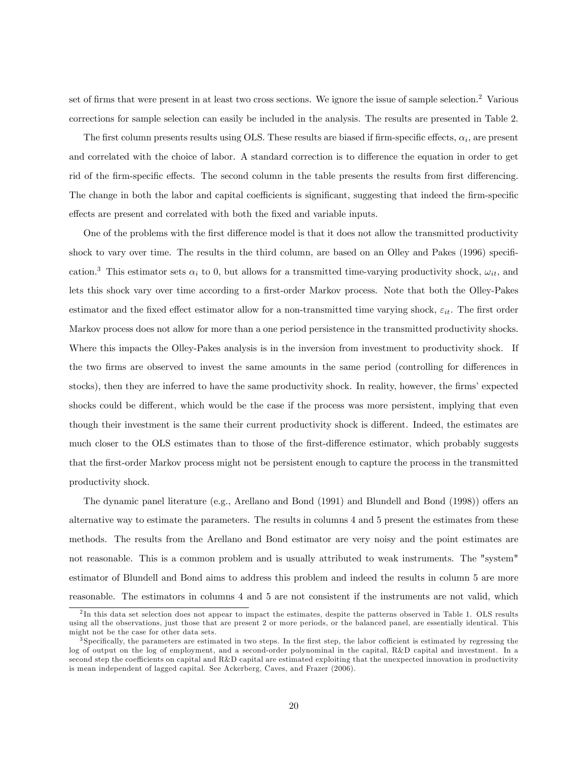set of firms that were present in at least two cross sections. We ignore the issue of sample selection.<sup>2</sup> Various corrections for sample selection can easily be included in the analysis. The results are presented in Table 2.

The first column presents results using OLS. These results are biased if firm-specific effects,  $\alpha_i$ , are present and correlated with the choice of labor. A standard correction is to difference the equation in order to get rid of the firm-specific effects. The second column in the table presents the results from first differencing. The change in both the labor and capital coefficients is significant, suggesting that indeed the firm-specific effects are present and correlated with both the fixed and variable inputs.

One of the problems with the first difference model is that it does not allow the transmitted productivity shock to vary over time. The results in the third column, are based on an Olley and Pakes (1996) specification.<sup>3</sup> This estimator sets  $\alpha_i$  to 0, but allows for a transmitted time-varying productivity shock,  $\omega_{it}$ , and lets this shock vary over time according to a first-order Markov process. Note that both the Olley-Pakes estimator and the fixed effect estimator allow for a non-transmitted time varying shock,  $\varepsilon_{it}$ . The first order Markov process does not allow for more than a one period persistence in the transmitted productivity shocks. Where this impacts the Olley-Pakes analysis is in the inversion from investment to productivity shock. If the two firms are observed to invest the same amounts in the same period (controlling for differences in stocks), then they are inferred to have the same productivity shock. In reality, however, the firms' expected shocks could be different, which would be the case if the process was more persistent, implying that even though their investment is the same their current productivity shock is different. Indeed, the estimates are much closer to the OLS estimates than to those of the first-difference estimator, which probably suggests that the Örst-order Markov process might not be persistent enough to capture the process in the transmitted productivity shock.

The dynamic panel literature (e.g., Arellano and Bond  $(1991)$  and Blundell and Bond  $(1998)$ ) offers an alternative way to estimate the parameters. The results in columns 4 and 5 present the estimates from these methods. The results from the Arellano and Bond estimator are very noisy and the point estimates are not reasonable. This is a common problem and is usually attributed to weak instruments. The "system" estimator of Blundell and Bond aims to address this problem and indeed the results in column 5 are more reasonable. The estimators in columns 4 and 5 are not consistent if the instruments are not valid, which

 $^{2}$ In this data set selection does not appear to impact the estimates, despite the patterns observed in Table 1. OLS results using all the observations, just those that are present 2 or more periods, or the balanced panel, are essentially identical. This might not be the case for other data sets.

<sup>&</sup>lt;sup>3</sup>Specifically, the parameters are estimated in two steps. In the first step, the labor cofficient is estimated by regressing the log of output on the log of employment, and a second-order polynominal in the capital, R&D capital and investment. In a second step the coefficients on capital and R&D capital are estimated exploiting that the unexpected innovation in productivity is mean independent of lagged capital. See Ackerberg, Caves, and Frazer (2006).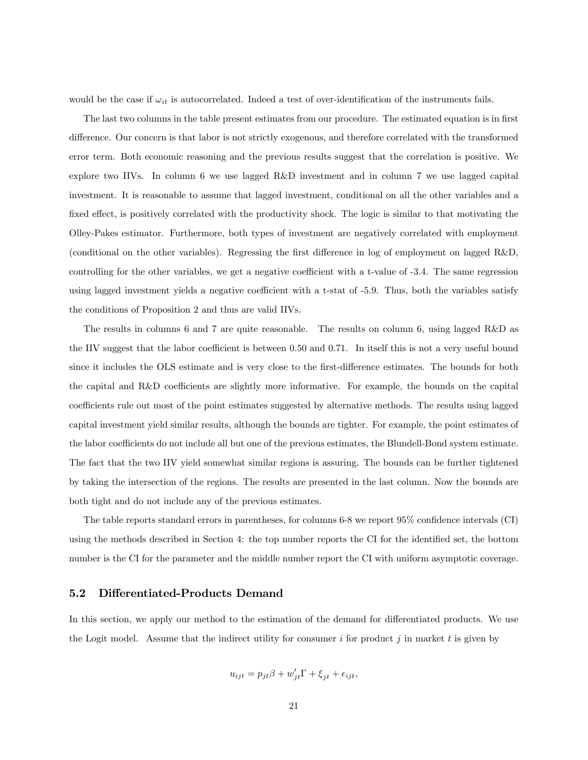would be the case if  $\omega_{it}$  is autocorrelated. Indeed a test of over-identification of the instruments fails.

The last two columns in the table present estimates from our procedure. The estimated equation is in first difference. Our concern is that labor is not strictly exogenous, and therefore correlated with the transformed error term. Both economic reasoning and the previous results suggest that the correlation is positive. We explore two IIVs. In column 6 we use lagged R&D investment and in column 7 we use lagged capital investment. It is reasonable to assume that lagged investment, conditional on all the other variables and a fixed effect, is positively correlated with the productivity shock. The logic is similar to that motivating the Olley-Pakes estimator. Furthermore, both types of investment are negatively correlated with employment (conditional on the other variables). Regressing the first difference in log of employment on lagged  $R&D$ , controlling for the other variables, we get a negative coefficient with a t-value of -3.4. The same regression using lagged investment yields a negative coefficient with a t-stat of -5.9. Thus, both the variables satisfy the conditions of Proposition 2 and thus are valid IIVs.

The results in columns 6 and 7 are quite reasonable. The results on column 6, using lagged R&D as the IIV suggest that the labor coefficient is between 0.50 and 0.71. In itself this is not a very useful bound since it includes the OLS estimate and is very close to the first-difference estimates. The bounds for both the capital and R&D coefficients are slightly more informative. For example, the bounds on the capital coefficients rule out most of the point estimates suggested by alternative methods. The results using lagged capital investment yield similar results, although the bounds are tighter. For example, the point estimates of the labor coefficients do not include all but one of the previous estimates, the Blundell-Bond system estimate. The fact that the two IIV yield somewhat similar regions is assuring. The bounds can be further tightened by taking the intersection of the regions. The results are presented in the last column. Now the bounds are both tight and do not include any of the previous estimates.

The table reports standard errors in parentheses, for columns  $6-8$  we report  $95\%$  confidence intervals (CI) using the methods described in Section 4: the top number reports the CI for the identified set, the bottom number is the CI for the parameter and the middle number report the CI with uniform asymptotic coverage.

### 5.2 Differentiated-Products Demand

In this section, we apply our method to the estimation of the demand for differentiated products. We use the Logit model. Assume that the indirect utility for consumer  $i$  for product  $j$  in market  $t$  is given by

$$
u_{ijt} = p_{jt}\beta + w'_{jt}\Gamma + \xi_{jt} + \epsilon_{ijt},
$$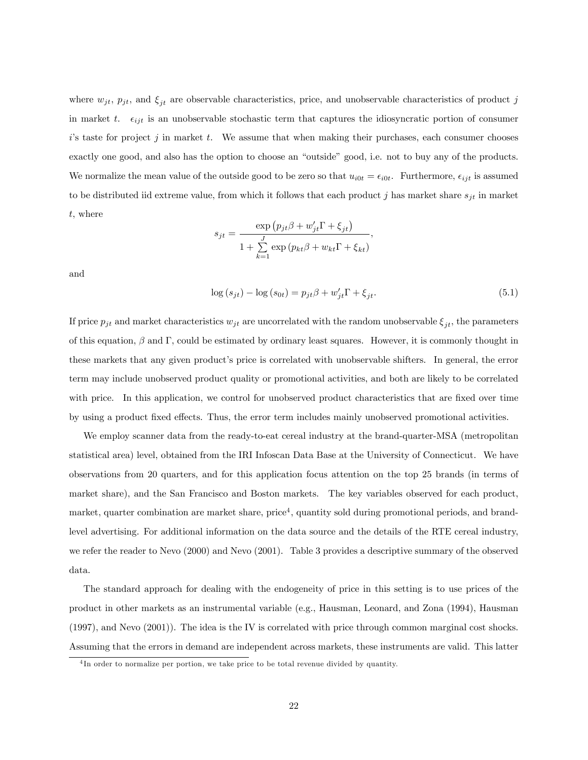where  $w_{jt}$ ,  $p_{jt}$ , and  $\xi_{jt}$  are observable characteristics, price, and unobservable characteristics of product j in market t.  $\epsilon_{ijt}$  is an unobservable stochastic term that captures the idiosyncratic portion of consumer  $i$ 's taste for project  $j$  in market  $t$ . We assume that when making their purchases, each consumer chooses exactly one good, and also has the option to choose an "outside" good, i.e. not to buy any of the products. We normalize the mean value of the outside good to be zero so that  $u_{i0t} = \epsilon_{i0t}$ . Furthermore,  $\epsilon_{ijt}$  is assumed to be distributed iid extreme value, from which it follows that each product j has market share  $s_{it}$  in market t, where

$$
s_{jt} = \frac{\exp (p_{jt}\beta + w'_{jt}\Gamma + \xi_{jt})}{1 + \sum_{k=1}^{J} \exp (p_{kt}\beta + w_{kt}\Gamma + \xi_{kt})}
$$

and

$$
\log\left(s_{jt}\right) - \log\left(s_{0t}\right) = p_{jt}\beta + w_{jt}'\Gamma + \xi_{jt}.\tag{5.1}
$$

,

If price  $p_{jt}$  and market characteristics  $w_{jt}$  are uncorrelated with the random unobservable  $\xi_{jt}$ , the parameters of this equation,  $\beta$  and  $\Gamma$ , could be estimated by ordinary least squares. However, it is commonly thought in these markets that any given product's price is correlated with unobservable shifters. In general, the error term may include unobserved product quality or promotional activities, and both are likely to be correlated with price. In this application, we control for unobserved product characteristics that are fixed over time by using a product fixed effects. Thus, the error term includes mainly unobserved promotional activities.

We employ scanner data from the ready-to-eat cereal industry at the brand-quarter-MSA (metropolitan statistical area) level, obtained from the IRI Infoscan Data Base at the University of Connecticut. We have observations from 20 quarters, and for this application focus attention on the top 25 brands (in terms of market share), and the San Francisco and Boston markets. The key variables observed for each product, market, quarter combination are market share, price<sup>4</sup>, quantity sold during promotional periods, and brandlevel advertising. For additional information on the data source and the details of the RTE cereal industry, we refer the reader to Nevo (2000) and Nevo (2001). Table 3 provides a descriptive summary of the observed data.

The standard approach for dealing with the endogeneity of price in this setting is to use prices of the product in other markets as an instrumental variable (e.g., Hausman, Leonard, and Zona (1994), Hausman (1997), and Nevo (2001)). The idea is the IV is correlated with price through common marginal cost shocks. Assuming that the errors in demand are independent across markets, these instruments are valid. This latter

<sup>4</sup> In order to normalize per portion, we take price to be total revenue divided by quantity.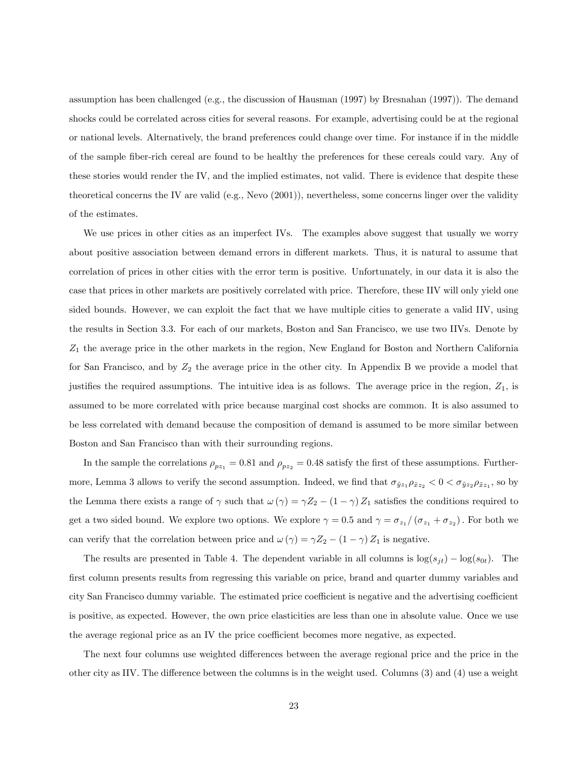assumption has been challenged (e.g., the discussion of Hausman (1997) by Bresnahan (1997)). The demand shocks could be correlated across cities for several reasons. For example, advertising could be at the regional or national levels. Alternatively, the brand preferences could change over time. For instance if in the middle of the sample Öber-rich cereal are found to be healthy the preferences for these cereals could vary. Any of these stories would render the IV, and the implied estimates, not valid. There is evidence that despite these theoretical concerns the IV are valid (e.g., Nevo (2001)), nevertheless, some concerns linger over the validity of the estimates.

We use prices in other cities as an imperfect IVs. The examples above suggest that usually we worry about positive association between demand errors in different markets. Thus, it is natural to assume that correlation of prices in other cities with the error term is positive. Unfortunately, in our data it is also the case that prices in other markets are positively correlated with price. Therefore, these IIV will only yield one sided bounds. However, we can exploit the fact that we have multiple cities to generate a valid IIV, using the results in Section 3.3. For each of our markets, Boston and San Francisco, we use two IIVs. Denote by  $Z_1$  the average price in the other markets in the region, New England for Boston and Northern California for San Francisco, and by  $Z_2$  the average price in the other city. In Appendix B we provide a model that justifies the required assumptions. The intuitive idea is as follows. The average price in the region,  $Z_1$ , is assumed to be more correlated with price because marginal cost shocks are common. It is also assumed to be less correlated with demand because the composition of demand is assumed to be more similar between Boston and San Francisco than with their surrounding regions.

In the sample the correlations  $\rho_{pz_1} = 0.81$  and  $\rho_{pz_2} = 0.48$  satisfy the first of these assumptions. Furthermore, Lemma 3 allows to verify the second assumption. Indeed, we find that  $\sigma_{\tilde{y}z_1}\rho_{\tilde{x}z_2} < 0 < \sigma_{\tilde{y}z_2}\rho_{\tilde{x}z_1}$ , so by the Lemma there exists a range of  $\gamma$  such that  $\omega(\gamma) = \gamma Z_2 - (1 - \gamma) Z_1$  satisfies the conditions required to get a two sided bound. We explore two options. We explore  $\gamma = 0.5$  and  $\gamma = \sigma_{z_1}/(\sigma_{z_1} + \sigma_{z_2})$ . For both we can verify that the correlation between price and  $\omega(\gamma) = \gamma Z_2 - (1 - \gamma) Z_1$  is negative.

The results are presented in Table 4. The dependent variable in all columns is  $\log(s_{jt}) - \log(s_{0t})$ . The first column presents results from regressing this variable on price, brand and quarter dummy variables and city San Francisco dummy variable. The estimated price coefficient is negative and the advertising coefficient is positive, as expected. However, the own price elasticities are less than one in absolute value. Once we use the average regional price as an IV the price coefficient becomes more negative, as expected.

The next four columns use weighted differences between the average regional price and the price in the other city as IIV. The difference between the columns is in the weight used. Columns  $(3)$  and  $(4)$  use a weight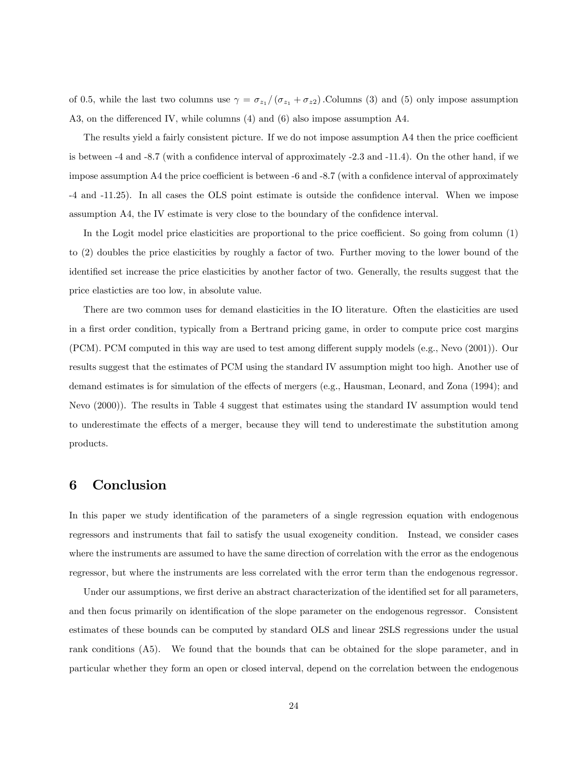of 0.5, while the last two columns use  $\gamma = \sigma_{z_1}/(\sigma_{z_1} + \sigma_{z_2})$ . Columns (3) and (5) only impose assumption A3, on the differenced IV, while columns  $(4)$  and  $(6)$  also impose assumption A4.

The results yield a fairly consistent picture. If we do not impose assumption A4 then the price coefficient is between  $-4$  and  $-8.7$  (with a confidence interval of approximately  $-2.3$  and  $-11.4$ ). On the other hand, if we impose assumption A4 the price coefficient is between -6 and -8.7 (with a confidence interval of approximately -4 and -11.25). In all cases the OLS point estimate is outside the confidence interval. When we impose assumption A4, the IV estimate is very close to the boundary of the confidence interval.

In the Logit model price elasticities are proportional to the price coefficient. So going from column  $(1)$ to (2) doubles the price elasticities by roughly a factor of two. Further moving to the lower bound of the identified set increase the price elasticities by another factor of two. Generally, the results suggest that the price elasticties are too low, in absolute value.

There are two common uses for demand elasticities in the IO literature. Often the elasticities are used in a first order condition, typically from a Bertrand pricing game, in order to compute price cost margins (PCM). PCM computed in this way are used to test among different supply models (e.g., Nevo (2001)). Our results suggest that the estimates of PCM using the standard IV assumption might too high. Another use of demand estimates is for simulation of the effects of mergers (e.g., Hausman, Leonard, and Zona  $(1994)$ ; and Nevo (2000)). The results in Table 4 suggest that estimates using the standard IV assumption would tend to underestimate the effects of a merger, because they will tend to underestimate the substitution among products.

## 6 Conclusion

In this paper we study identification of the parameters of a single regression equation with endogenous regressors and instruments that fail to satisfy the usual exogeneity condition. Instead, we consider cases where the instruments are assumed to have the same direction of correlation with the error as the endogenous regressor, but where the instruments are less correlated with the error term than the endogenous regressor.

Under our assumptions, we first derive an abstract characterization of the identified set for all parameters. and then focus primarily on identification of the slope parameter on the endogenous regressor. Consistent estimates of these bounds can be computed by standard OLS and linear 2SLS regressions under the usual rank conditions (A5). We found that the bounds that can be obtained for the slope parameter, and in particular whether they form an open or closed interval, depend on the correlation between the endogenous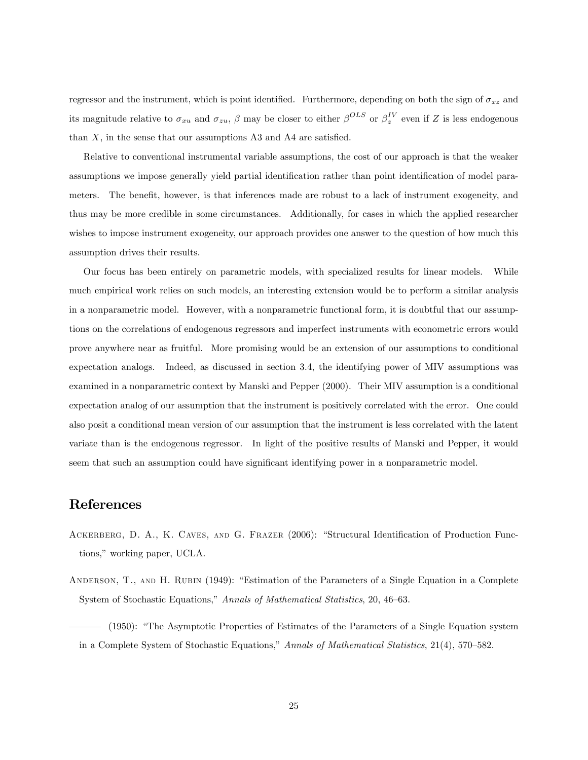regressor and the instrument, which is point identified. Furthermore, depending on both the sign of  $\sigma_{xz}$  and its magnitude relative to  $\sigma_{xu}$  and  $\sigma_{zu}$ ,  $\beta$  may be closer to either  $\beta^{OLS}$  or  $\beta^{IV}_z$  even if Z is less endogenous than  $X$ , in the sense that our assumptions A3 and A4 are satisfied.

Relative to conventional instrumental variable assumptions, the cost of our approach is that the weaker assumptions we impose generally yield partial identification rather than point identification of model parameters. The benefit, however, is that inferences made are robust to a lack of instrument exogeneity, and thus may be more credible in some circumstances. Additionally, for cases in which the applied researcher wishes to impose instrument exogeneity, our approach provides one answer to the question of how much this assumption drives their results.

Our focus has been entirely on parametric models, with specialized results for linear models. While much empirical work relies on such models, an interesting extension would be to perform a similar analysis in a nonparametric model. However, with a nonparametric functional form, it is doubtful that our assumptions on the correlations of endogenous regressors and imperfect instruments with econometric errors would prove anywhere near as fruitful. More promising would be an extension of our assumptions to conditional expectation analogs. Indeed, as discussed in section 3.4, the identifying power of MIV assumptions was examined in a nonparametric context by Manski and Pepper (2000). Their MIV assumption is a conditional expectation analog of our assumption that the instrument is positively correlated with the error. One could also posit a conditional mean version of our assumption that the instrument is less correlated with the latent variate than is the endogenous regressor. In light of the positive results of Manski and Pepper, it would seem that such an assumption could have significant identifying power in a nonparametric model.

## References

- ACKERBERG, D. A., K. CAVES, AND G. FRAZER (2006): "Structural Identification of Production Functions," working paper, UCLA.
- ANDERSON, T., AND H. RUBIN (1949): "Estimation of the Parameters of a Single Equation in a Complete System of Stochastic Equations," Annals of Mathematical Statistics, 20, 46–63.
- (1950): "The Asymptotic Properties of Estimates of the Parameters of a Single Equation system in a Complete System of Stochastic Equations," Annals of Mathematical Statistics, 21(4), 570–582.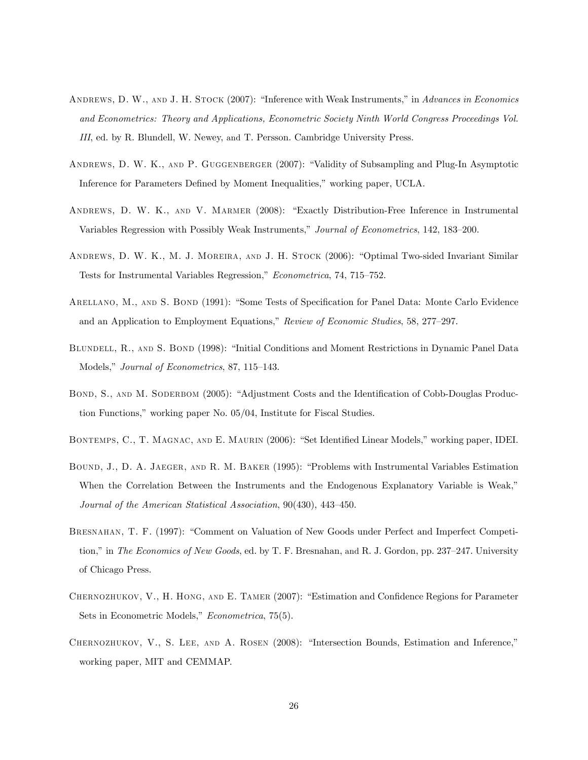- ANDREWS, D. W., AND J. H. STOCK (2007): "Inference with Weak Instruments," in Advances in Economics and Econometrics: Theory and Applications, Econometric Society Ninth World Congress Proceedings Vol. III, ed. by R. Blundell, W. Newey, and T. Persson. Cambridge University Press.
- ANDREWS, D. W. K., AND P. GUGGENBERGER (2007): "Validity of Subsampling and Plug-In Asymptotic Inference for Parameters Defined by Moment Inequalities," working paper, UCLA.
- ANDREWS, D. W. K., AND V. MARMER (2008): "Exactly Distribution-Free Inference in Instrumental Variables Regression with Possibly Weak Instruments," Journal of Econometrics, 142, 183-200.
- ANDREWS, D. W. K., M. J. MOREIRA, AND J. H. STOCK (2006): "Optimal Two-sided Invariant Similar Tests for Instrumental Variables Regression," Econometrica, 74, 715–752.
- ARELLANO, M., AND S. BOND (1991): "Some Tests of Specification for Panel Data: Monte Carlo Evidence and an Application to Employment Equations," Review of Economic Studies, 58, 277–297.
- BLUNDELL, R., AND S. BOND (1998): "Initial Conditions and Moment Restrictions in Dynamic Panel Data Models," Journal of Econometrics, 87, 115–143.
- BOND, S., AND M. SODERBOM (2005): "Adjustment Costs and the Identification of Cobb-Douglas Production Functions," working paper No.  $05/04$ , Institute for Fiscal Studies.
- BONTEMPS, C., T. MAGNAC, AND E. MAURIN (2006): "Set Identified Linear Models," working paper, IDEI.
- BOUND, J., D. A. JAEGER, AND R. M. BAKER (1995): "Problems with Instrumental Variables Estimation When the Correlation Between the Instruments and the Endogenous Explanatory Variable is Weak," Journal of the American Statistical Association,  $90(430)$ ,  $443-450$ .
- BRESNAHAN, T. F. (1997): "Comment on Valuation of New Goods under Perfect and Imperfect Competition," in The Economics of New Goods, ed. by T. F. Bresnahan, and R. J. Gordon, pp. 237–247. University of Chicago Press.
- CHERNOZHUKOV, V., H. HONG, AND E. TAMER (2007): "Estimation and Confidence Regions for Parameter Sets in Econometric Models," Econometrica, 75(5).
- CHERNOZHUKOV, V., S. LEE, AND A. ROSEN (2008): "Intersection Bounds, Estimation and Inference," working paper, MIT and CEMMAP.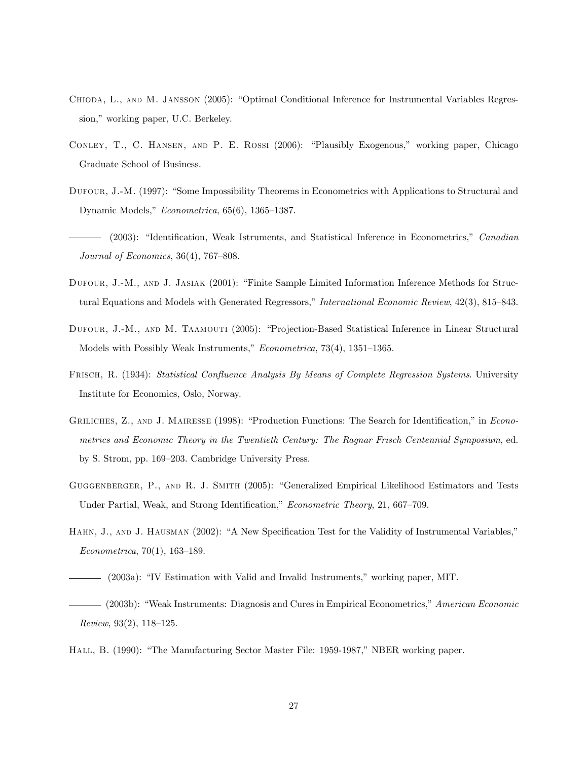- CHIODA, L., AND M. JANSSON (2005): "Optimal Conditional Inference for Instrumental Variables Regression," working paper, U.C. Berkeley.
- CONLEY, T., C. HANSEN, AND P. E. ROSSI (2006): "Plausibly Exogenous," working paper, Chicago Graduate School of Business.
- DUFOUR, J.-M. (1997): "Some Impossibility Theorems in Econometrics with Applications to Structural and Dynamic Models," Econometrica, 65(6), 1365-1387.
- (2003): "Identification, Weak Istruments, and Statistical Inference in Econometrics," Canadian Journal of Economics,  $36(4)$ ,  $767-808$ .
- DUFOUR, J.-M., AND J. JASIAK (2001): "Finite Sample Limited Information Inference Methods for Structural Equations and Models with Generated Regressors," International Economic Review, 42(3), 815–843.
- DUFOUR, J.-M., AND M. TAAMOUTI (2005): "Projection-Based Statistical Inference in Linear Structural Models with Possibly Weak Instruments,"  $Econometrica$ , 73(4), 1351–1365.
- FRISCH, R. (1934): Statistical Confluence Analysis By Means of Complete Regression Systems. University Institute for Economics, Oslo, Norway.
- GRILICHES, Z., AND J. MAIRESSE (1998): "Production Functions: The Search for Identification," in Econometrics and Economic Theory in the Twentieth Century: The Ragnar Frisch Centennial Symposium, ed. by S. Strom, pp. 169–203. Cambridge University Press.
- GUGGENBERGER, P., AND R. J. SMITH (2005): "Generalized Empirical Likelihood Estimators and Tests Under Partial, Weak, and Strong Identification," Econometric Theory, 21, 667-709.
- HAHN, J., AND J. HAUSMAN (2002): "A New Specification Test for the Validity of Instrumental Variables,"  $Econometrica, 70(1), 163-189.$
- (2003a): "IV Estimation with Valid and Invalid Instruments," working paper, MIT.
- (2003b): "Weak Instruments: Diagnosis and Cures in Empirical Econometrics," American Economic Review, 93 $(2)$ , 118–125.
- HALL, B. (1990): "The Manufacturing Sector Master File: 1959-1987," NBER working paper.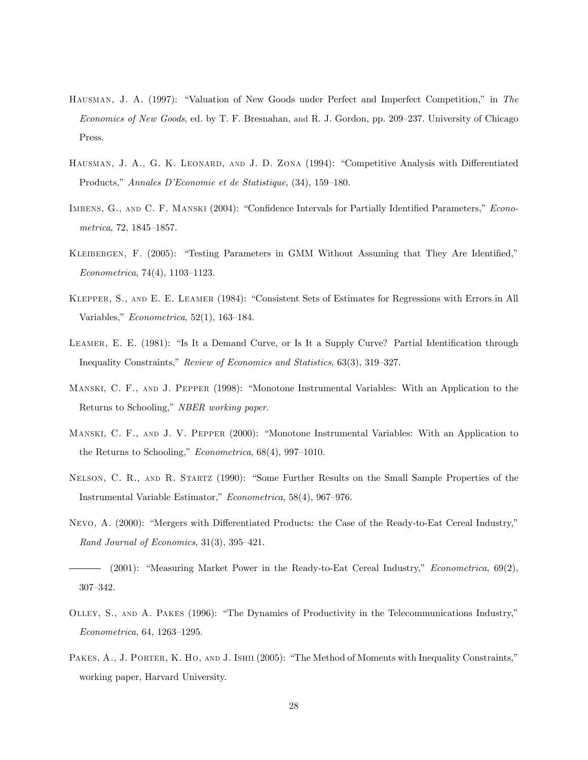- HAUSMAN, J. A. (1997): "Valuation of New Goods under Perfect and Imperfect Competition," in The Economics of New Goods, ed. by T. F. Bresnahan, and R. J. Gordon, pp. 209–237. University of Chicago Press.
- HAUSMAN, J. A., G. K. LEONARD, AND J. D. ZONA (1994): "Competitive Analysis with Differentiated Products," Annales D'Economie et de Statistique, (34), 159-180.
- IMBENS, G., AND C. F. MANSKI (2004): "Confidence Intervals for Partially Identified Parameters," Econometrica, 72, 1845–1857.
- KLEIBERGEN, F. (2005): "Testing Parameters in GMM Without Assuming that They Are Identified,"  $Econometrica, 74(4), 1103-1123.$
- KLEPPER, S., AND E. E. LEAMER (1984): "Consistent Sets of Estimates for Regressions with Errors in All Variables,"  $Econometrica$ , 52(1), 163-184.
- LEAMER, E. E. (1981): "Is It a Demand Curve, or Is It a Supply Curve? Partial Identification through Inequality Constraints," Review of Economics and Statistics, 63(3), 319–327.
- MANSKI, C. F., AND J. PEPPER (1998): "Monotone Instrumental Variables: With an Application to the Returns to Schooling," NBER working paper.
- MANSKI, C. F., AND J. V. PEPPER (2000): "Monotone Instrumental Variables: With an Application to the Returns to Schooling,"  $Econometrica$ , 68(4), 997-1010.
- NELSON, C. R., AND R. STARTZ (1990): "Some Further Results on the Small Sample Properties of the Instrumental Variable Estimator," Econometrica, 58(4), 967–976.
- NEVO, A. (2000): "Mergers with Differentiated Products: the Case of the Ready-to-Eat Cereal Industry," Rand Journal of Economics,  $31(3)$ ,  $395-421$ .
- (2001): "Measuring Market Power in the Ready-to-Eat Cereal Industry," *Econometrica*,  $69(2)$ , 307-342.
- OLLEY, S., AND A. PAKES (1996): "The Dynamics of Productivity in the Telecommunications Industry,"  $Econometrica, 64, 1263–1295.$
- PAKES, A., J. PORTER, K. HO, AND J. ISHII (2005): "The Method of Moments with Inequality Constraints," working paper, Harvard University.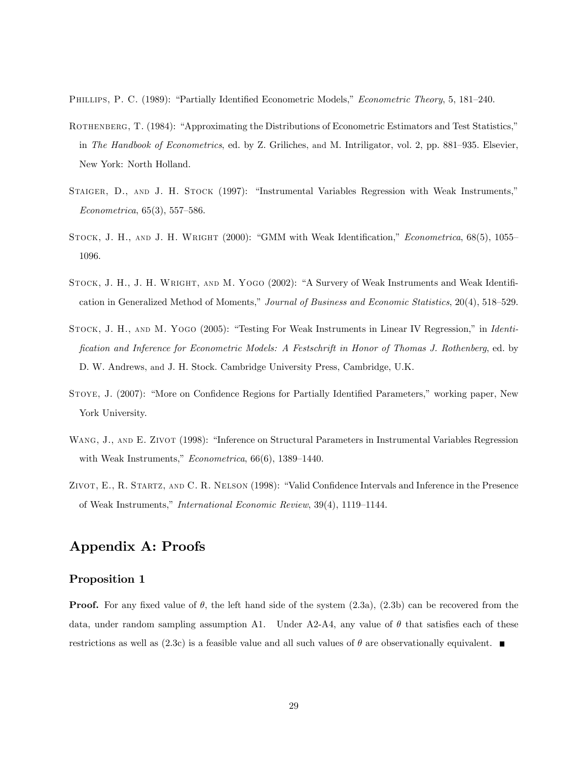PHILLIPS, P. C. (1989): "Partially Identified Econometric Models," Econometric Theory, 5, 181–240.

- ROTHENBERG, T. (1984): "Approximating the Distributions of Econometric Estimators and Test Statistics," in The Handbook of Econometrics, ed. by Z. Griliches, and M. Intriligator, vol. 2, pp. 881–935. Elsevier, New York: North Holland.
- STAIGER, D., AND J. H. STOCK (1997): "Instrumental Variables Regression with Weak Instruments,"  $Econometrica, 65(3), 557-586.$
- STOCK, J. H., AND J. H. WRIGHT (2000): "GMM with Weak Identification," *Econometrica*, 68(5), 1055– 1096.
- STOCK, J. H., J. H. WRIGHT, AND M. YOGO (2002): "A Survery of Weak Instruments and Weak Identification in Generalized Method of Moments," Journal of Business and Economic Statistics, 20(4), 518–529.
- STOCK, J. H., AND M. YOGO (2005): "Testing For Weak Instruments in Linear IV Regression," in Identification and Inference for Econometric Models: A Festschrift in Honor of Thomas J. Rothenberg, ed. by D. W. Andrews, and J. H. Stock. Cambridge University Press, Cambridge, U.K.
- STOYE, J. (2007): "More on Confidence Regions for Partially Identified Parameters," working paper, New York University.
- WANG, J., AND E. ZIVOT (1998): "Inference on Structural Parameters in Instrumental Variables Regression with Weak Instruments,"  $Econometrica, 66(6), 1389-1440.$
- ZIVOT, E., R. STARTZ, AND C. R. NELSON (1998): "Valid Confidence Intervals and Inference in the Presence of Weak Instruments," International Economic Review, 39(4), 1119-1144.

## Appendix A: Proofs

### Proposition 1

**Proof.** For any fixed value of  $\theta$ , the left hand side of the system  $(2.3a)$ ,  $(2.3b)$  can be recovered from the data, under random sampling assumption A1. Under  $A2-A4$ , any value of  $\theta$  that satisfies each of these restrictions as well as (2.3c) is a feasible value and all such values of  $\theta$  are observationally equivalent.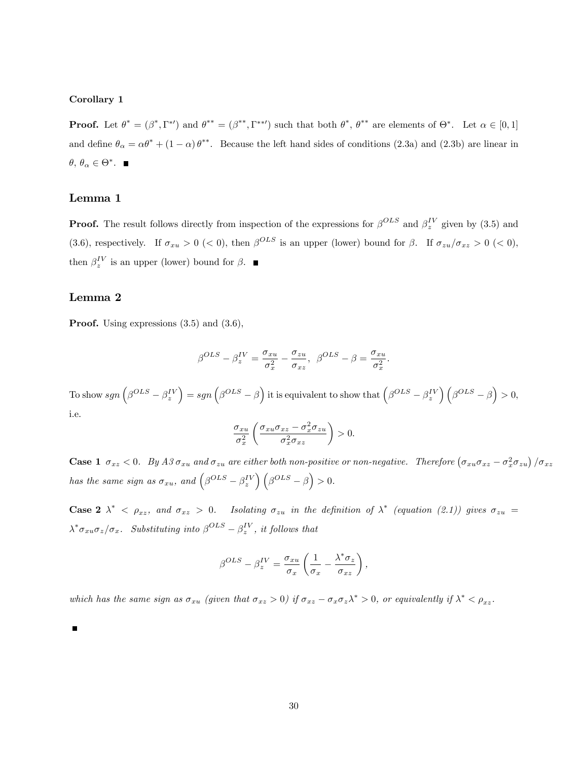#### Corollary 1

**Proof.** Let  $\theta^* = (\beta^*, \Gamma^*)$  and  $\theta^{**} = (\beta^{**}, \Gamma^{**})$  such that both  $\theta^*, \theta^{**}$  are elements of  $\Theta^*$ . Let  $\alpha \in [0,1]$ and define  $\theta_{\alpha} = \alpha \theta^* + (1 - \alpha) \theta^{**}$ . Because the left hand sides of conditions (2.3a) and (2.3b) are linear in  $\theta, \theta_{\alpha} \in \Theta^*$ .

### Lemma 1

**Proof.** The result follows directly from inspection of the expressions for  $\beta^{OLS}$  and  $\beta^{IV}_z$  given by (3.5) and (3.6), respectively. If  $\sigma_{xu} > 0$  (< 0), then  $\beta^{OLS}$  is an upper (lower) bound for  $\beta$ . If  $\sigma_{zu}/\sigma_{xz} > 0$  (< 0), then  $\beta_z^{IV}$  is an upper (lower) bound for  $\beta$ .

### Lemma 2

Proof. Using expressions  $(3.5)$  and  $(3.6)$ ,

$$
\beta^{OLS}-\beta_z^{IV}=\frac{\sigma_{xu}}{\sigma_x^2}-\frac{\sigma_{zu}}{\sigma_{xz}},\ \ \beta^{OLS}-\beta=\frac{\sigma_{xu}}{\sigma_x^2}.
$$

To show  $sgn\left(\beta^{OLS}-\beta^{IV}_z\right)=sgn\left(\beta^{OLS}-\beta\right)$  it is equivalent to show that  $\left(\beta^{OLS}-\beta^{IV}_z\right)\left(\beta^{OLS}-\beta\right)>0$ , i.e.

$$
\frac{\sigma_{xu}}{\sigma_x^2} \left( \frac{\sigma_{xu} \sigma_{xz} - \sigma_x^2 \sigma_{zu}}{\sigma_x^2 \sigma_{xz}} \right) > 0.
$$

**Case 1**  $\sigma_{xz} < 0$ . By  $A3 \sigma_{xu}$  and  $\sigma_{zu}$  are either both non-positive or non-negative. Therefore  $(\sigma_{xu}\sigma_{xz} - \sigma_x^2\sigma_{zu})/\sigma_{xz}$ has the same sign as  $\sigma_{xu}$ , and  $(\beta^{OLS} - \beta_z^{IV}) (\beta^{OLS} - \beta) > 0$ .

**Case 2**  $\lambda^*$  <  $\rho_{xz}$ , and  $\sigma_{xz} > 0$ . Isolating  $\sigma_{zu}$  in the definition of  $\lambda^*$  (equation (2.1)) gives  $\sigma_{zu} =$  $\lambda^* \sigma_{xu} \sigma_z / \sigma_x$ . Substituting into  $\beta^{OLS} - \beta_z^{IV}$ , it follows that

$$
\beta^{OLS} - \beta_z^{IV} = \frac{\sigma_{xu}}{\sigma_x} \left( \frac{1}{\sigma_x} - \frac{\lambda^* \sigma_z}{\sigma_{xz}} \right),
$$

which has the same sign as  $\sigma_{xu}$  (given that  $\sigma_{xz} > 0$ ) if  $\sigma_{xz} - \sigma_x \sigma_z \lambda^* > 0$ , or equivalently if  $\lambda^* < \rho_{xz}$ .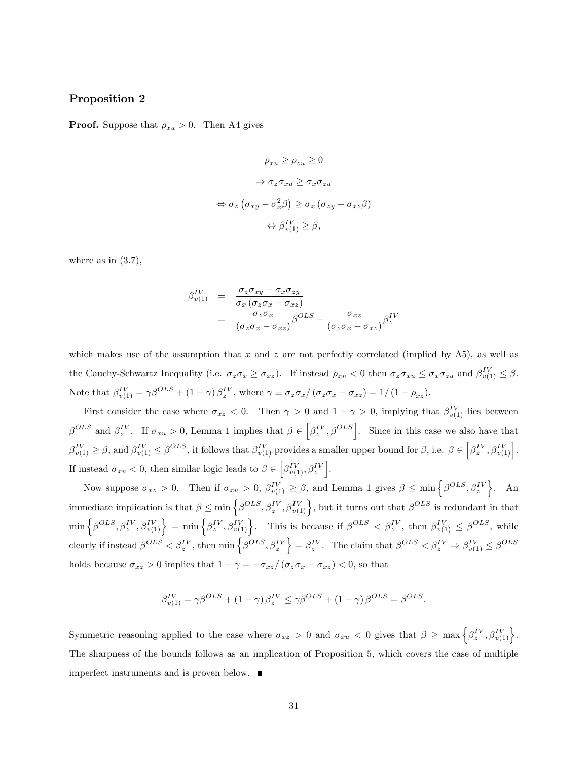### Proposition 2

**Proof.** Suppose that  $\rho_{xu} > 0$ . Then A4 gives

$$
\rho_{xu} \ge \rho_{zu} \ge 0
$$
  
\n
$$
\Rightarrow \sigma_z \sigma_{xu} \ge \sigma_x \sigma_{zu}
$$
  
\n
$$
\Leftrightarrow \sigma_z \left( \sigma_{xy} - \sigma_x^2 \beta \right) \ge \sigma_x \left( \sigma_{zy} - \sigma_{xz} \beta \right)
$$
  
\n
$$
\Leftrightarrow \beta_{v(1)}^{IV} \ge \beta,
$$

where as in  $(3.7)$ ,

$$
\beta_{v(1)}^{IV} = \frac{\sigma_z \sigma_{xy} - \sigma_x \sigma_{zy}}{\sigma_x (\sigma_z \sigma_x - \sigma_{xz})}
$$
  
= 
$$
\frac{\sigma_z \sigma_x}{(\sigma_z \sigma_x - \sigma_{xz})} \beta^{OLS} - \frac{\sigma_{xz}}{(\sigma_z \sigma_x - \sigma_{xz})} \beta_z^{IV}
$$

which makes use of the assumption that x and z are not perfectly correlated (implied by  $\overline{A5}$ ), as well as the Cauchy-Schwartz Inequality (i.e.  $\sigma_z \sigma_x \geq \sigma_{xz}$ ). If instead  $\rho_{xu} < 0$  then  $\sigma_z \sigma_{xu} \leq \sigma_x \sigma_{zu}$  and  $\beta_{v(1)}^{IV} \leq \beta$ . Note that  $\beta_{v(1)}^{IV} = \gamma \beta^{OLS} + (1 - \gamma) \beta_z^{IV}$ , where  $\gamma \equiv \sigma_z \sigma_x / (\sigma_z \sigma_x - \sigma_{xz}) = 1 / (1 - \rho_{xz})$ .

First consider the case where  $\sigma_{xz} < 0$ . Then  $\gamma > 0$  and  $1 - \gamma > 0$ , implying that  $\beta_{v(1)}^{IV}$  lies between  $\beta^{OLS}$  and  $\beta_z^{IV}$ . If  $\sigma_{xu} > 0$ , Lemma 1 implies that  $\beta \in \left[\beta_z^{IV}, \beta^{OLS}\right]$ . Since in this case we also have that  $\beta_{v(1)}^{IV} \geq \beta$ , and  $\beta_{v(1)}^{IV} \leq \beta^{OLS}$ , it follows that  $\beta_{v(1)}^{IV}$  provides a smaller upper bound for  $\beta$ , i.e.  $\beta \in \left[\beta_{z}^{IV}, \beta_{v(1)}^{IV}\right]$ . If instead  $\sigma_{xu} < 0$ , then similar logic leads to  $\beta \in \left[\beta_{v(1)}^{IV}, \beta_{z}^{IV}\right]$ .

Now suppose  $\sigma_{xz} > 0$ . Then if  $\sigma_{xu} > 0$ ,  $\beta_{v(1)}^{IV} \geq \beta$ , and Lemma 1 gives  $\beta \leq \min\left\{\beta^{OLS}, \beta_z^{IV}\right\}$ . An immediate implication is that  $\beta \leq \min\left\{\beta^{OLS}, \beta^{IV}_{z}, \beta^{IV}_{v(1)}\right\}$ , but it turns out that  $\beta^{OLS}$  is redundant in that  $\min\left\{\beta^{OLS},\beta^{IV}_z,\beta^{IV}_{v(1)}\right\} = \min\left\{\beta^{IV}_z,\beta^{IV}_{v(1)}\right\}.$  This is because if  $\beta^{OLS} < \beta^{IV}_z$ , then  $\beta^{IV}_{v(1)} \leq \beta^{OLS}$ , while clearly if instead  $\beta^{OLS} < \beta_z^{IV}$ , then  $\min \left\{ \beta^{OLS}, \beta_z^{IV} \right\} = \beta_z^{IV}$ . The claim that  $\beta^{OLS} < \beta_z^{IV} \Rightarrow \beta_{v(1)}^{IV} \leq \beta^{OLS}$ holds because  $\sigma_{xz} > 0$  implies that  $1 - \gamma = -\sigma_{xz}/(\sigma_z \sigma_x - \sigma_{xz}) < 0$ , so that

$$
\beta_{v(1)}^{IV} = \gamma \beta^{OLS} + (1 - \gamma) \beta_z^{IV} \le \gamma \beta^{OLS} + (1 - \gamma) \beta^{OLS} = \beta^{OLS}.
$$

Symmetric reasoning applied to the case where  $\sigma_{xz} > 0$  and  $\sigma_{xu} < 0$  gives that  $\beta \ge \max\left\{\beta_z^{IV}, \beta_{v(1)}^{IV}\right\}$ . The sharpness of the bounds follows as an implication of Proposition 5, which covers the case of multiple imperfect instruments and is proven below.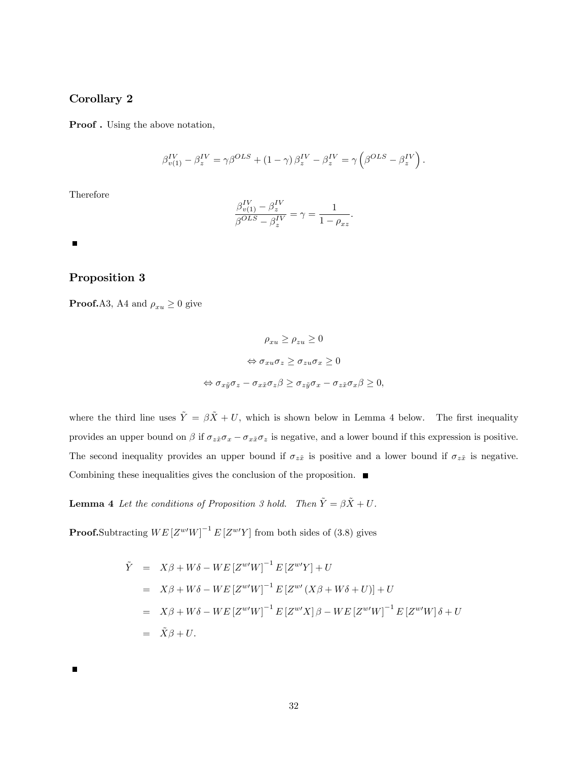### Corollary 2

Proof . Using the above notation,

$$
\beta_{v(1)}^{IV} - \beta_z^{IV} = \gamma \beta^{OLS} + (1 - \gamma) \beta_z^{IV} - \beta_z^{IV} = \gamma \left( \beta^{OLS} - \beta_z^{IV} \right).
$$

Therefore

$$
\frac{\beta_{v(1)}^{IV} - \beta_z^{IV}}{\beta^{OLS} - \beta_z^{IV}} = \gamma = \frac{1}{1 - \rho_{xz}}.
$$

 $\blacksquare$ 

### Proposition 3

**Proof.**A3, A4 and  $\rho_{xu} \ge 0$  give

$$
\rho_{xu} \ge \rho_{zu} \ge 0
$$
  
\n
$$
\Leftrightarrow \sigma_{xu}\sigma_z \ge \sigma_{zu}\sigma_x \ge 0
$$
  
\n
$$
\Leftrightarrow \sigma_{x\tilde{y}}\sigma_z - \sigma_{x\tilde{x}}\sigma_z\beta \ge \sigma_{z\tilde{y}}\sigma_x - \sigma_{z\tilde{x}}\sigma_x\beta \ge 0,
$$

where the third line uses  $\tilde{Y} = \beta \tilde{X} + U$ , which is shown below in Lemma 4 below. The first inequality provides an upper bound on  $\beta$  if  $\sigma_{z\tilde{x}}\sigma_x - \sigma_{x\tilde{x}}\sigma_z$  is negative, and a lower bound if this expression is positive. The second inequality provides an upper bound if  $\sigma_{z\tilde{x}}$  is positive and a lower bound if  $\sigma_{z\tilde{x}}$  is negative. Combining these inequalities gives the conclusion of the proposition.  $\blacksquare$ 

**Lemma 4** Let the conditions of Proposition 3 hold. Then  $\tilde{Y} = \beta \tilde{X} + U$ .

**Proof.**Subtracting  $WE[Z^{w'}W]^{-1}E[Z^{w'}Y]$  from both sides of (3.8) gives

$$
\tilde{Y} = X\beta + W\delta - WE[Z^{w'}W]^{-1} E[Z^{w'}Y] + U
$$
\n
$$
= X\beta + W\delta - WE[Z^{w'}W]^{-1} E[Z^{w'}(X\beta + W\delta + U)] + U
$$
\n
$$
= X\beta + W\delta - WE[Z^{w'}W]^{-1} E[Z^{w'}X]\beta - WE[Z^{w'}W]^{-1} E[Z^{w'}W]\delta + U
$$
\n
$$
= \tilde{X}\beta + U.
$$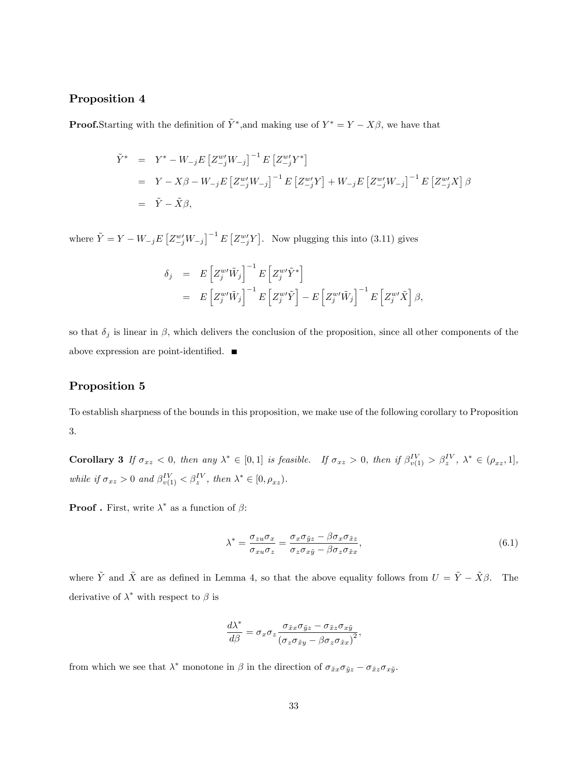### Proposition 4

**Proof.**Starting with the definition of  $\tilde{Y}^*$ , and making use of  $Y^* = Y - X\beta$ , we have that

$$
\tilde{Y}^* = Y^* - W_{-j} E \left[ Z_{-j}^{w'} W_{-j} \right]^{-1} E \left[ Z_{-j}^{w'} Y^* \right]
$$
\n
$$
= Y - X\beta - W_{-j} E \left[ Z_{-j}^{w'} W_{-j} \right]^{-1} E \left[ Z_{-j}^{w'} Y \right] + W_{-j} E \left[ Z_{-j}^{w'} W_{-j} \right]^{-1} E \left[ Z_{-j}^{w'} X \right] \beta
$$
\n
$$
= \tilde{Y} - \tilde{X}\beta,
$$

where  $\tilde{Y} = Y - W_{-j}E\left[Z_{-j}^{w'}W_{-j}\right]^{-1}E\left[Z_{-j}^{w'}Y\right]$ . Now plugging this into (3.11) gives

$$
\delta_j = E \left[ Z_j^{w'} \tilde{W}_j \right]^{-1} E \left[ Z_j^{w'} \tilde{Y}^* \right]
$$
  
= 
$$
E \left[ Z_j^{w'} \tilde{W}_j \right]^{-1} E \left[ Z_j^{w'} \tilde{Y} \right] - E \left[ Z_j^{w'} \tilde{W}_j \right]^{-1} E \left[ Z_j^{w'} \tilde{X} \right] \beta,
$$

so that  $\delta_j$  is linear in  $\beta$ , which delivers the conclusion of the proposition, since all other components of the above expression are point-identified.  $\blacksquare$ 

## Proposition 5

To establish sharpness of the bounds in this proposition, we make use of the following corollary to Proposition 3.

**Corollary 3** If  $\sigma_{xz} < 0$ , then any  $\lambda^* \in [0,1]$  is feasible. If  $\sigma_{xz} > 0$ , then if  $\beta_{v(1)}^{IV} > \beta_z^{IV}$ ,  $\lambda^* \in (\rho_{xz}, 1]$ , while if  $\sigma_{xz} > 0$  and  $\beta_{v(1)}^{IV} < \beta_z^{IV}$ , then  $\lambda^* \in [0, \rho_{xz})$ .

**Proof**. First, write  $\lambda^*$  as a function of  $\beta$ :

$$
\lambda^* = \frac{\sigma_{zu}\sigma_x}{\sigma_{xu}\sigma_z} = \frac{\sigma_x\sigma_{\tilde{y}z} - \beta\sigma_x\sigma_{\tilde{x}z}}{\sigma_z\sigma_{x\tilde{y}} - \beta\sigma_z\sigma_{\tilde{x}x}},\tag{6.1}
$$

where  $\tilde{Y}$  and  $\tilde{X}$  are as defined in Lemma 4, so that the above equality follows from  $U = \tilde{Y} - \tilde{X}\beta$ . The derivative of  $\lambda^*$  with respect to  $\beta$  is

$$
\frac{d\lambda^*}{d\beta} = \sigma_x \sigma_z \frac{\sigma_{\tilde{x}x} \sigma_{\tilde{y}z} - \sigma_{\tilde{x}z} \sigma_{x\tilde{y}}}{(\sigma_z \sigma_{\tilde{x}y} - \beta \sigma_z \sigma_{\tilde{x}x})^2},
$$

from which we see that  $\lambda^*$  monotone in  $\beta$  in the direction of  $\sigma_{\tilde{x}x}\sigma_{\tilde{y}z}-\sigma_{\tilde{x}z}\sigma_{x\tilde{y}}$ .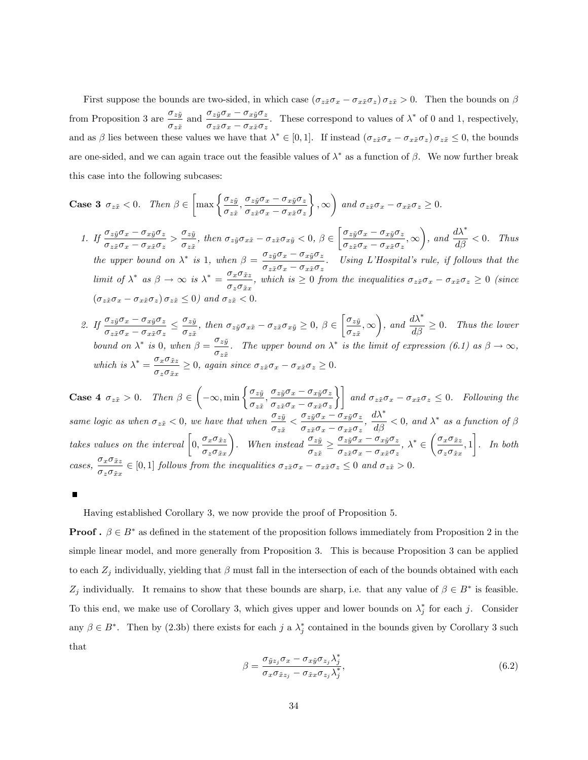First suppose the bounds are two-sided, in which case  $(\sigma_{z\tilde{x}}\sigma_x - \sigma_{x\tilde{x}}\sigma_z)\sigma_{z\tilde{x}} > 0$ . Then the bounds on  $\beta$ from Proposition 3 are  $\frac{\sigma_{z\tilde{y}}}{\sigma_{z\tilde{x}}}$  and  $\frac{\sigma_{z\tilde{y}}\sigma_{x}-\sigma_{x\tilde{y}}\sigma_{z}}{\sigma_{z\tilde{x}}\sigma_{x}-\sigma_{x\tilde{x}}\sigma_{z}}$  $\frac{z_2y \sigma_x}{\sigma_z \bar{x} \sigma_x - \sigma_x \bar{x} \sigma_z}$ . These correspond to values of  $\lambda^*$  of 0 and 1, respectively, and as  $\beta$  lies between these values we have that  $\lambda^* \in [0,1]$ . If instead  $(\sigma_{z\tilde{x}}\sigma_x - \sigma_{x\tilde{x}}\sigma_z) \sigma_{z\tilde{x}} \leq 0$ , the bounds are one-sided, and we can again trace out the feasible values of  $\lambda^*$  as a function of  $\beta$ . We now further break this case into the following subcases:

Case 3 
$$
\sigma_{z\tilde{x}} < 0
$$
. Then  $\beta \in \left[\max\left\{\frac{\sigma_{z\tilde{y}}}{\sigma_{z\tilde{x}}}, \frac{\sigma_{z\tilde{y}}\sigma_{x} - \sigma_{x\tilde{y}}\sigma_{z}}{\sigma_{z\tilde{x}}\sigma_{x} - \sigma_{x\tilde{x}}\sigma_{z}}\right\}, \infty\right)$  and  $\sigma_{z\tilde{x}}\sigma_{x} - \sigma_{x\tilde{x}}\sigma_{z} \geq 0$ .

- 1. If  $\frac{\sigma_{z\tilde{y}}\sigma_{x}-\sigma_{x\tilde{y}}\sigma_{z}}{z}$  $\frac{\sigma_{z\tilde{y}}\sigma_{x}-\sigma_{x\tilde{y}}\sigma_{z}}{\sigma_{z\tilde{x}}\sigma_{x}-\sigma_{x\tilde{x}}\sigma_{z}} > \frac{\sigma_{z\tilde{y}}}{\sigma_{z\tilde{x}}}$  $\frac{\partial z}{\partial z} = \frac{\partial z}{\partial x}$ , then  $\sigma_{z\tilde{y}}\sigma_{x\tilde{x}} - \sigma_{z\tilde{x}}\sigma_{x\tilde{y}} < 0, \ \beta \in$  $\int \underline{\sigma_{z\tilde{y}}\sigma_{x}-\sigma_{x\tilde{y}}\sigma_{z}}$  $\frac{\sigma zy^{\sigma}x - \sigma xyz^{\sigma}z}{\sigma z\tilde{x}\sigma_x - \sigma_{x\tilde{x}}\sigma_z}, \infty$  $\int$ , and  $\frac{d\lambda^*}{d\beta} < 0$ . Thus the upper bound on  $\lambda^*$  is 1, when  $\beta = \frac{\sigma_{z\tilde{y}}\sigma_x - \sigma_{x\tilde{y}}\sigma_z}{\sigma_{z}}$  $\frac{\partial z_y \partial x}{\partial z \partial x - \partial x \partial y}$ . Using L'Hospital's rule, if follows that the limit of  $\lambda^*$  as  $\beta \to \infty$  is  $\lambda^* = \frac{\sigma_x \sigma_{\tilde{x}z}}{\sigma_x \sigma_{\tilde{x}z}}$  $\frac{\partial}{\partial x} \frac{\partial}{\partial x} \frac{\partial}{\partial x}$ , which is  $\geq 0$  from the inequalities  $\sigma_{z\tilde{x}}\sigma_x - \sigma_{x\tilde{x}}\sigma_z \geq 0$  (since  $\left(\sigma_{z\tilde{x}}\sigma_{x}-\sigma_{x\tilde{x}}\sigma_{z}\right)\sigma_{z\tilde{x}}\leq0\right)~and~\sigma_{z\tilde{x}}<0.$
- 2. If  $\frac{\sigma_{z\tilde{y}}\sigma_{x}-\sigma_{x\tilde{y}}\sigma_{z}}{z}$  $\frac{1}{\sigma_{z\tilde{x}}\sigma_{x}-\sigma_{x\tilde{x}}\sigma_{z}} \leq$  $\sigma_{z\tilde{y}}$  $\frac{\partial z}{\partial z}$ , then  $\sigma_{z\tilde{y}}\sigma_{x\tilde{x}}-\sigma_{z\tilde{x}}\sigma_{x\tilde{y}}\geq 0, \beta \in$  $\int \sigma_{z\tilde{y}}$  $\frac{\sigma z y}{\sigma z \tilde{x}}, \infty$ ), and  $\frac{d\lambda^*}{d\beta} \geq 0$ . Thus the lower bound on  $\lambda^*$  is 0, when  $\beta = \frac{\sigma_{z\tilde{y}}}{\sigma_{z\tilde{y}}}$  $\frac{\partial z}{\partial z}$ . The upper bound on  $\lambda^*$  is the limit of expression (6.1) as  $\beta \to \infty$ , which is  $\lambda^* = \frac{\sigma_x \sigma_{\tilde{x}z}}{k}$  $\frac{\partial}{\partial x} \frac{\partial}{\partial x} \frac{\partial}{\partial x} \geq 0$ , again since  $\sigma_{z\tilde{x}} \sigma_x - \sigma_{x\tilde{x}} \sigma_z \geq 0$ .

**Case 4**  $\sigma_{z\tilde{x}} > 0$ . Then  $\beta \in$  $\left(-\infty, \min\left\{\frac{\sigma_{z\tilde{y}}}{\sigma_{z\tilde{y}}} \right\}\right]$  $\frac{\sigma_{z\tilde{y}}}{\sigma_{z\tilde{x}}}, \frac{\sigma_{z\tilde{y}}\sigma_{x}-\sigma_{x\tilde{y}}\sigma_{z}}{\sigma_{z\tilde{x}}\sigma_{x}-\sigma_{x\tilde{x}}\sigma_{z}}$  $\frac{\sigma_{z\tilde{y}}\sigma_x - \sigma_{x\tilde{y}}\sigma_z}{\sigma_{z\tilde{x}}\sigma_x - \sigma_{x\tilde{x}}\sigma_z}$  and  $\sigma_{z\tilde{x}}\sigma_x - \sigma_{x\tilde{x}}\sigma_z \leq 0$ . Following the same logic as when  $\sigma_{z\tilde{x}} < 0$ , we have that when  $\frac{\sigma_{z\tilde{y}}}{\sigma_{z\tilde{x}}} < \frac{\sigma_{z\tilde{y}}\sigma_x - \sigma_{x\tilde{y}}\sigma_z}{\sigma_{z\tilde{x}}\sigma_x - \sigma_{x\tilde{x}}\sigma_z}$  $\frac{\sigma_{z\tilde{y}}\sigma_x - \sigma_{x\tilde{y}}\sigma_z}{\sigma_{z\tilde{x}}\sigma_x - \sigma_{x\tilde{x}}\sigma_z}, \frac{d\lambda^*}{d\beta} < 0$ , and  $\lambda^*$  as a function of  $\beta$ takes values on the interval  $\Big[0, \frac{\sigma_x \sigma_{\tilde{x}z}}{2}\Big]$  $\sigma_z\sigma_{\tilde{x}x}$ ). When instead  $\frac{\sigma_{z\tilde{y}}}{\sigma_{z\tilde{x}}} \ge \frac{\sigma_{z\tilde{y}}\sigma_x - \sigma_{x\tilde{y}}\sigma_z}{\sigma_{z\tilde{x}}\sigma_x - \sigma_{x\tilde{x}}\sigma_z}$  $\frac{\sigma_{zy}\sigma_x - \sigma_{xy}\sigma_z}{\sigma_{z\tilde{x}}\sigma_x - \sigma_{x\tilde{x}}\sigma_z}, \lambda^* \in$  $\int \sigma_x \sigma_{\tilde{x}z}$  $\frac{\sigma_x \sigma_{xz}}{\sigma_z \sigma_{\tilde{x}x}}, 1$ Ĭ. . In both  $cases, \frac{\sigma_x \sigma_{\tilde{x}z}}{x}$  $\frac{\partial}{\partial z}\frac{\partial}{\partial x}\frac{\partial}{\partial z} \in [0,1]$  follows from the inequalities  $\sigma_{z\tilde{x}}\sigma_x - \sigma_{x\tilde{x}}\sigma_z \leq 0$  and  $\sigma_{z\tilde{x}} > 0$ .

Having established Corollary 3, we now provide the proof of Proposition 5.

**Proof** .  $\beta \in B^*$  as defined in the statement of the proposition follows immediately from Proposition 2 in the simple linear model, and more generally from Proposition 3. This is because Proposition 3 can be applied to each  $Z_j$  individually, yielding that  $\beta$  must fall in the intersection of each of the bounds obtained with each  $Z_j$  individually. It remains to show that these bounds are sharp, i.e. that any value of  $\beta \in B^*$  is feasible. To this end, we make use of Corollary 3, which gives upper and lower bounds on  $\lambda_j^*$  for each j. Consider any  $\beta \in B^*$ . Then by (2.3b) there exists for each j a  $\lambda_j^*$  contained in the bounds given by Corollary 3 such that

$$
\beta = \frac{\sigma_{\tilde{y}z_j}\sigma_x - \sigma_{x\tilde{y}}\sigma_{z_j}\lambda_j^*}{\sigma_x\sigma_{\tilde{x}z_j} - \sigma_{\tilde{x}x}\sigma_{z_j}\lambda_j^*},\tag{6.2}
$$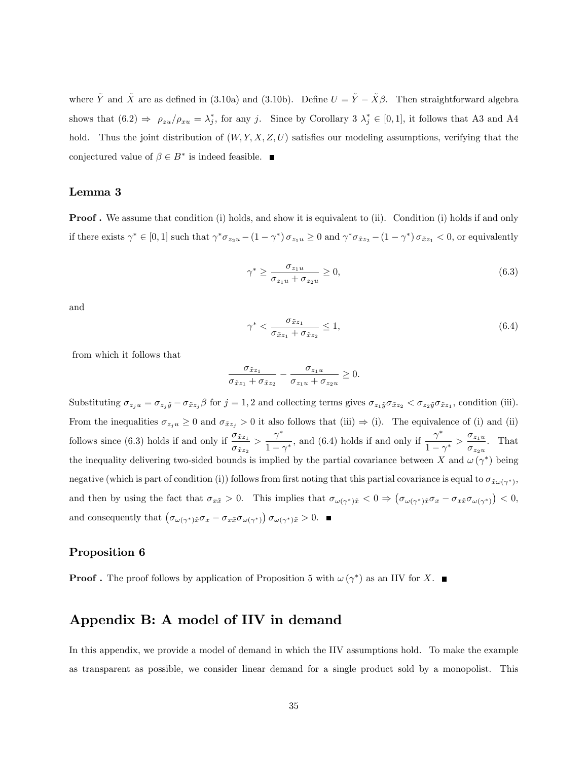where  $\tilde{Y}$  and  $\tilde{X}$  are as defined in (3.10a) and (3.10b). Define  $U = \tilde{Y} - \tilde{X}\beta$ . Then straightforward algebra shows that  $(6.2) \Rightarrow \rho_{zu}/\rho_{xu} = \lambda_j^*$ , for any j. Since by Corollary 3  $\lambda_j^* \in [0,1]$ , it follows that A3 and A4 hold. Thus the joint distribution of  $(W, Y, X, Z, U)$  satisfies our modeling assumptions, verifying that the conjectured value of  $\beta \in B^*$  is indeed feasible.

### Lemma 3

**Proof.** We assume that condition (i) holds, and show it is equivalent to (ii). Condition (i) holds if and only if there exists  $\gamma^* \in [0,1]$  such that  $\gamma^* \sigma_{z_2u} - (1 - \gamma^*) \sigma_{z_1u} \ge 0$  and  $\gamma^* \sigma_{\tilde{x}z_2} - (1 - \gamma^*) \sigma_{\tilde{x}z_1} < 0$ , or equivalently

$$
\gamma^* \ge \frac{\sigma_{z_1 u}}{\sigma_{z_1 u} + \sigma_{z_2 u}} \ge 0,\tag{6.3}
$$

and

$$
\gamma^* < \frac{\sigma_{\tilde{x}z_1}}{\sigma_{\tilde{x}z_1} + \sigma_{\tilde{x}z_2}} \le 1,\tag{6.4}
$$

from which it follows that

$$
\frac{\sigma_{\tilde{x}z_1}}{\sigma_{\tilde{x}z_1} + \sigma_{\tilde{x}z_2}} - \frac{\sigma_{z_1u}}{\sigma_{z_1u} + \sigma_{z_2u}} \ge 0.
$$

Substituting  $\sigma_{z_j u} = \sigma_{z_j \tilde{y}} - \sigma_{\tilde{x} z_j} \beta$  for  $j = 1, 2$  and collecting terms gives  $\sigma_{z_1 \tilde{y}} \sigma_{\tilde{x} z_2} < \sigma_{z_2 \tilde{y}} \sigma_{\tilde{x} z_1}$ , condition (iii). From the inequalities  $\sigma_{z_ju} \geq 0$  and  $\sigma_{\tilde{x}z_j} > 0$  it also follows that (iii)  $\Rightarrow$  (i). The equivalence of (i) and (ii) follows since (6.3) holds if and only if  $\frac{\sigma_{\tilde{x}z_1}}{\sigma_{\tilde{x}z_1}}$  $\frac{\sigma_{\tilde{x}z_1}}{\sigma_{\tilde{x}z_2}} > \frac{\gamma^*}{1-\gamma}$  $\frac{\gamma^*}{1-\gamma^*}$ , and (6.4) holds if and only if  $\frac{\gamma^*}{1-\gamma^*}$  $\frac{\gamma^*}{1-\gamma^*} > \frac{\sigma_{z_1u}}{\sigma_{z_2u}}$  $\frac{\sigma_{z_1u}}{\sigma_{z_2u}}$ . That the inequality delivering two-sided bounds is implied by the partial covariance between X and  $\omega(\gamma^*)$  being negative (which is part of condition (i)) follows from first noting that this partial covariance is equal to  $\sigma_{\tilde{x}\omega(\gamma^*)}$ , and then by using the fact that  $\sigma_{x\tilde{x}} > 0$ . This implies that  $\sigma_{\omega(\gamma^*)\tilde{x}} < 0 \Rightarrow (\sigma_{\omega(\gamma^*)\tilde{x}}\sigma_x - \sigma_{x\tilde{x}}\sigma_{\omega(\gamma^*)}) < 0$ , and consequently that  $(\sigma_{\omega(\gamma^*)\tilde{x}}\sigma_x - \sigma_{x\tilde{x}}\sigma_{\omega(\gamma^*)}) \sigma_{\omega(\gamma^*)\tilde{x}} > 0.$ 

#### Proposition 6

**Proof** . The proof follows by application of Proposition 5 with  $\omega(\gamma^*)$  as an IIV for X.

## Appendix B: A model of IIV in demand

In this appendix, we provide a model of demand in which the IIV assumptions hold. To make the example as transparent as possible, we consider linear demand for a single product sold by a monopolist. This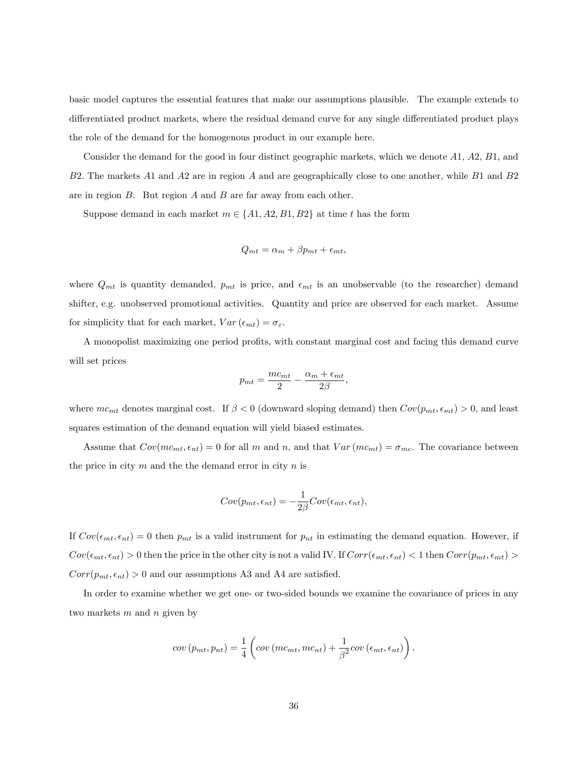basic model captures the essential features that make our assumptions plausible. The example extends to differentiated product markets, where the residual demand curve for any single differentiated product plays the role of the demand for the homogenous product in our example here.

Consider the demand for the good in four distinct geographic markets, which we denote A1, A2, B1, and B2. The markets A1 and A2 are in region A and are geographically close to one another, while B1 and B2 are in region  $B$ . But region  $A$  and  $B$  are far away from each other.

Suppose demand in each market  $m \in \{A1, A2, B1, B2\}$  at time t has the form

$$
Q_{mt} = \alpha_m + \beta p_{mt} + \epsilon_{mt},
$$

where  $Q_{mt}$  is quantity demanded,  $p_{mt}$  is price, and  $\epsilon_{mt}$  is an unobservable (to the researcher) demand shifter, e.g. unobserved promotional activities. Quantity and price are observed for each market. Assume for simplicity that for each market,  $Var(\epsilon_{mt}) = \sigma_{\varepsilon}$ .

A monopolist maximizing one period profits, with constant marginal cost and facing this demand curve will set prices

$$
p_{mt} = \frac{mc_{mt}}{2} - \frac{\alpha_m + \epsilon_{mt}}{2\beta},
$$

where  $mc_{mt}$  denotes marginal cost. If  $\beta < 0$  (downward sloping demand) then  $Cov(p_{mt}, \epsilon_{mt}) > 0$ , and least squares estimation of the demand equation will yield biased estimates.

Assume that  $Cov(mc_{mt}, \epsilon_{nt}) = 0$  for all m and n, and that  $Var(mc_{mt}) = \sigma_{mc}$ . The covariance between the price in city  $m$  and the the demand error in city  $n$  is

$$
Cov(p_{mt}, \epsilon_{nt}) = -\frac{1}{2\beta}Cov(\epsilon_{mt}, \epsilon_{nt}),
$$

If  $Cov(\epsilon_{mt}, \epsilon_{nt}) = 0$  then  $p_{mt}$  is a valid instrument for  $p_{nt}$  in estimating the demand equation. However, if  $Cov(\epsilon_{mt}, \epsilon_{nt}) > 0$  then the price in the other city is not a valid IV. If  $Corr(\epsilon_{mt}, \epsilon_{nt}) < 1$  then  $Corr(p_{mt}, \epsilon_{mt}) > 0$  $Corr(p_{mt}, \epsilon_{nt}) > 0$  and our assumptions A3 and A4 are satisfied.

In order to examine whether we get one- or two-sided bounds we examine the covariance of prices in any two markets  $m$  and  $n$  given by

$$
cov(p_{mt}, p_{nt}) = \frac{1}{4} \left( cov(mc_{mt}, mc_{nt}) + \frac{1}{\beta^2} cov(\epsilon_{mt}, \epsilon_{nt}) \right).
$$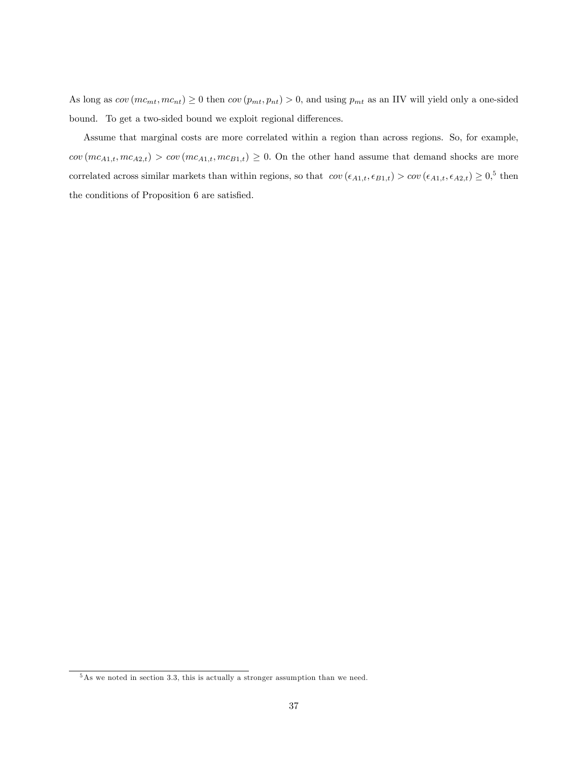As long as  $cov(mc_{mt}, mc_{nt}) \ge 0$  then  $cov(p_{mt}, p_{nt}) > 0$ , and using  $p_{mt}$  as an IIV will yield only a one-sided bound. To get a two-sided bound we exploit regional differences.

Assume that marginal costs are more correlated within a region than across regions. So, for example,  $cov(m_{A1,t}, mc_{A2,t}) > cov(m_{A1,t}, mc_{B1,t}) \geq 0$ . On the other hand assume that demand shocks are more correlated across similar markets than within regions, so that  $cov(\epsilon_{A1,t}, \epsilon_{B1,t}) > cov(\epsilon_{A1,t}, \epsilon_{A2,t}) \geq 0$ , then the conditions of Proposition 6 are satisfied.

<sup>&</sup>lt;sup>5</sup>As we noted in section 3.3, this is actually a stronger assumption than we need.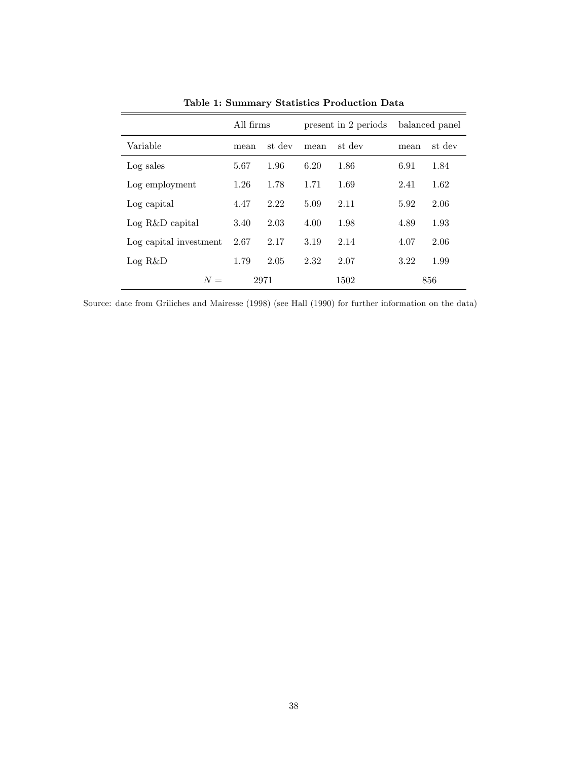|                        | All firms |        | present in 2 periods |        |      | balanced panel |
|------------------------|-----------|--------|----------------------|--------|------|----------------|
| Variable               | mean      | st dev | mean                 | st dev | mean | st dev         |
| Log sales              | 5.67      | 1.96   | 6.20                 | 1.86   | 6.91 | 1.84           |
| Log employment         | 1.26      | 1.78   | 1.71                 | 1.69   | 2.41 | 1.62           |
| Log capital            | 4.47      | 2.22   | 5.09                 | 2.11   | 5.92 | 2.06           |
| $Log R&D\$ capital     | 3.40      | 2.03   | 4.00                 | 1.98   | 4.89 | 1.93           |
| Log capital investment | 2.67      | 2.17   | 3.19                 | 2.14   | 4.07 | 2.06           |
| Log R&D                | 1.79      | 2.05   | 2.32                 | 2.07   | 3.22 | 1.99           |
| $N =$                  | 2971      |        |                      | 1502   | 856  |                |

Table 1: Summary Statistics Production Data

Source: date from Griliches and Mairesse (1998) (see Hall (1990) for further information on the data)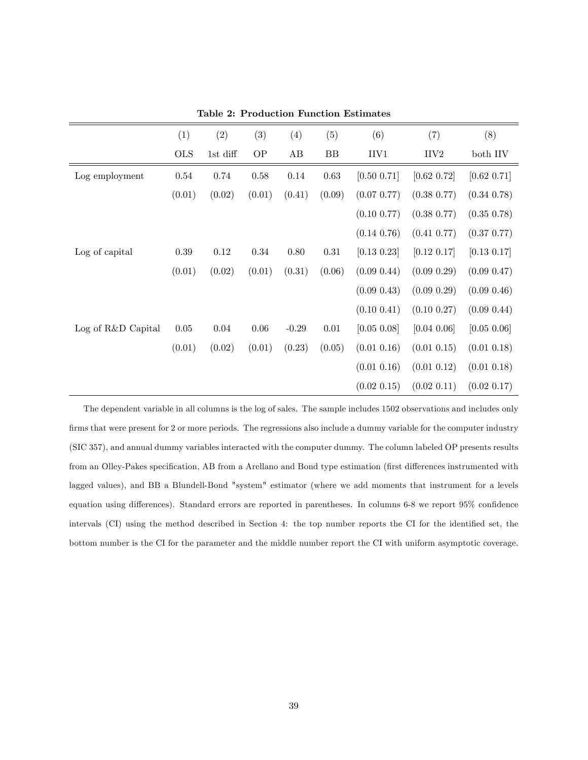|                    | (1)        | (2)      | (3)    | (4)     | (5)        | (6)              | (7)              | (8)              |
|--------------------|------------|----------|--------|---------|------------|------------------|------------------|------------------|
|                    | <b>OLS</b> | 1st diff | OP     | AB      | BB         | IIV1             | IIV <sub>2</sub> | both IIV         |
| Log employment     | 0.54       | 0.74     | 0.58   | 0.14    | $\,0.63\,$ | [0.50 0.71]      | [0.62 0.72]      | [0.62 0.71]      |
|                    | (0.01)     | (0.02)   | (0.01) | (0.41)  | (0.09)     | $(0.07\;0.77)$   | $(0.38\ 0.77)$   | $(0.34\;0.78)$   |
|                    |            |          |        |         |            | $(0.10\;0.77)$   | $(0.38\;0.77)$   | $(0.35\;0.78)$   |
|                    |            |          |        |         |            | $(0.14\;0.76)$   | $(0.41\;0.77)$   | $(0.37\;0.77)$   |
| Log of capital     | 0.39       | 0.12     | 0.34   | 0.80    | $0.31\,$   | $[0.13 \; 0.23]$ | [0.12 0.17]      | $[0.13 \; 0.17]$ |
|                    | (0.01)     | (0.02)   | (0.01) | (0.31)  | (0.06)     | $(0.09\; 0.44)$  | $(0.09\;0.29)$   | $(0.09\;0.47)$   |
|                    |            |          |        |         |            | $(0.09\; 0.43)$  | $(0.09\;0.29)$   | $(0.09\;0.46)$   |
|                    |            |          |        |         |            | $(0.10\;0.41)$   | $(0.10\;0.27)$   | $(0.09\; 0.44)$  |
| Log of R&D Capital | 0.05       | 0.04     | 0.06   | $-0.29$ | 0.01       | [0.05 0.08]      | [0.04 0.06]      | [0.05 0.06]      |
|                    | (0.01)     | (0.02)   | (0.01) | (0.23)  | (0.05)     | $(0.01\;0.16)$   | $(0.01\;0.15)$   | $(0.01\;0.18)$   |
|                    |            |          |        |         |            | $(0.01\;0.16)$   | $(0.01\;0.12)$   | $(0.01\;0.18)$   |
|                    |            |          |        |         |            | (0.02 0.15)      | (0.02 0.11)      | (0.02 0.17)      |

Table 2: Production Function Estimates

The dependent variable in all columns is the log of sales. The sample includes 1502 observations and includes only firms that were present for 2 or more periods. The regressions also include a dummy variable for the computer industry (SIC 357), and annual dummy variables interacted with the computer dummy. The column labeled OP presents results from an Olley-Pakes specification, AB from a Arellano and Bond type estimation (first differences instrumented with lagged values), and BB a Blundell-Bond "system" estimator (where we add moments that instrument for a levels equation using differences). Standard errors are reported in parentheses. In columns 6-8 we report 95% confidence intervals (CI) using the method described in Section 4: the top number reports the CI for the identified set, the bottom number is the CI for the parameter and the middle number report the CI with uniform asymptotic coverage.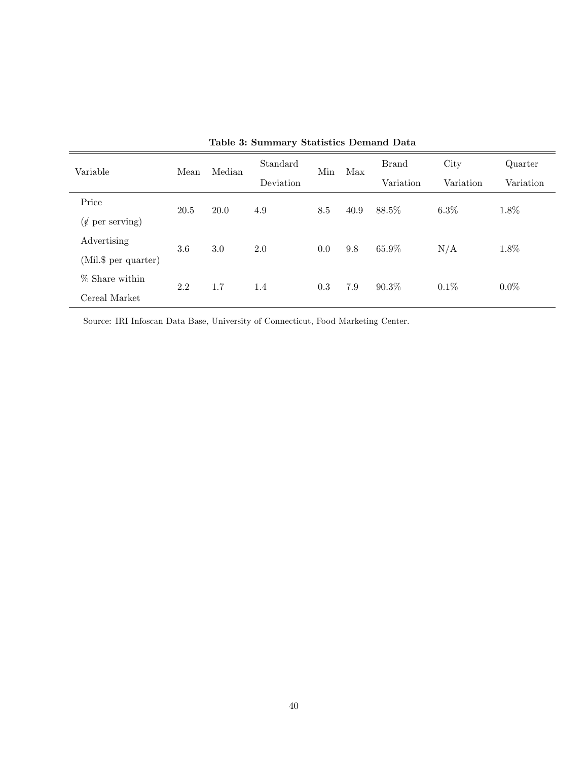| Variable                     | Mean | Median | Standard  | Min | Max  | <b>Brand</b> | City      | Quarter   |
|------------------------------|------|--------|-----------|-----|------|--------------|-----------|-----------|
|                              |      |        | Deviation |     |      | Variation    | Variation | Variation |
| Price                        | 20.5 | 20.0   | 4.9       | 8.5 | 40.9 | 88.5%        | $6.3\%$   | 1.8%      |
| $(\phi \text{ per serving})$ |      |        |           |     |      |              |           |           |
| Advertising                  | 3.6  | 3.0    | 2.0       | 0.0 | 9.8  | 65.9%        | N/A       | 1.8%      |
| (Mil.\$ per quarter)         |      |        |           |     |      |              |           |           |
| % Share within               | 2.2  | 1.7    | 1.4       | 0.3 | 7.9  | $90.3\%$     | $0.1\%$   | $0.0\%$   |
| Cereal Market                |      |        |           |     |      |              |           |           |

| Table 3: Summary Statistics Demand Data |  |  |  |
|-----------------------------------------|--|--|--|
|-----------------------------------------|--|--|--|

Source: IRI Infoscan Data Base, University of Connecticut, Food Marketing Center.